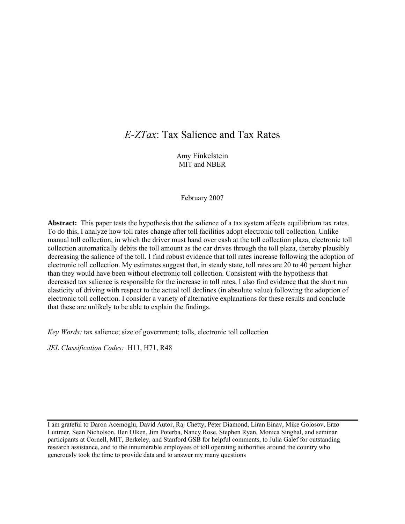# *E-ZTax*: Tax Salience and Tax Rates

Amy Finkelstein MIT and NBER

February 2007

**Abstract:** This paper tests the hypothesis that the salience of a tax system affects equilibrium tax rates. To do this, I analyze how toll rates change after toll facilities adopt electronic toll collection. Unlike manual toll collection, in which the driver must hand over cash at the toll collection plaza, electronic toll collection automatically debits the toll amount as the car drives through the toll plaza, thereby plausibly decreasing the salience of the toll. I find robust evidence that toll rates increase following the adoption of electronic toll collection. My estimates suggest that, in steady state, toll rates are 20 to 40 percent higher than they would have been without electronic toll collection. Consistent with the hypothesis that decreased tax salience is responsible for the increase in toll rates, I also find evidence that the short run elasticity of driving with respect to the actual toll declines (in absolute value) following the adoption of electronic toll collection. I consider a variety of alternative explanations for these results and conclude that these are unlikely to be able to explain the findings.

*Key Words:* tax salience; size of government; tolls, electronic toll collection

*JEL Classification Codes:* H11, H71, R48

I am grateful to Daron Acemoglu, David Autor, Raj Chetty, Peter Diamond, Liran Einav, Mike Golosov, Erzo Luttmer, Sean Nicholson, Ben Olken, Jim Poterba, Nancy Rose, Stephen Ryan, Monica Singhal, and seminar participants at Cornell, MIT, Berkeley, and Stanford GSB for helpful comments, to Julia Galef for outstanding research assistance, and to the innumerable employees of toll operating authorities around the country who generously took the time to provide data and to answer my many questions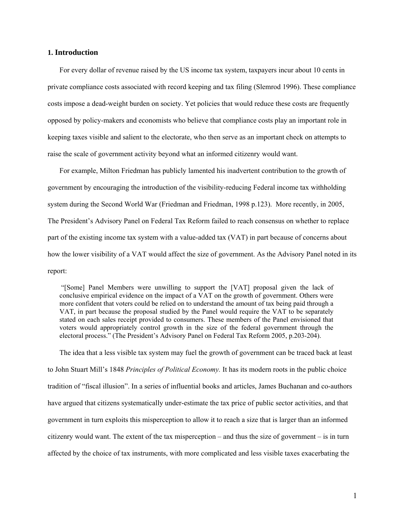# **1. Introduction**

For every dollar of revenue raised by the US income tax system, taxpayers incur about 10 cents in private compliance costs associated with record keeping and tax filing (Slemrod 1996). These compliance costs impose a dead-weight burden on society. Yet policies that would reduce these costs are frequently opposed by policy-makers and economists who believe that compliance costs play an important role in keeping taxes visible and salient to the electorate, who then serve as an important check on attempts to raise the scale of government activity beyond what an informed citizenry would want.

For example, Milton Friedman has publicly lamented his inadvertent contribution to the growth of government by encouraging the introduction of the visibility-reducing Federal income tax withholding system during the Second World War (Friedman and Friedman, 1998 p.123). More recently, in 2005, The President's Advisory Panel on Federal Tax Reform failed to reach consensus on whether to replace part of the existing income tax system with a value-added tax (VAT) in part because of concerns about how the lower visibility of a VAT would affect the size of government. As the Advisory Panel noted in its report:

 "[Some] Panel Members were unwilling to support the [VAT] proposal given the lack of conclusive empirical evidence on the impact of a VAT on the growth of government. Others were more confident that voters could be relied on to understand the amount of tax being paid through a VAT, in part because the proposal studied by the Panel would require the VAT to be separately stated on each sales receipt provided to consumers. These members of the Panel envisioned that voters would appropriately control growth in the size of the federal government through the electoral process." (The President's Advisory Panel on Federal Tax Reform 2005, p.203-204).

The idea that a less visible tax system may fuel the growth of government can be traced back at least to John Stuart Mill's 1848 *Principles of Political Economy.* It has its modern roots in the public choice tradition of "fiscal illusion". In a series of influential books and articles, James Buchanan and co-authors have argued that citizens systematically under-estimate the tax price of public sector activities, and that government in turn exploits this misperception to allow it to reach a size that is larger than an informed citizenry would want. The extent of the tax misperception – and thus the size of government – is in turn affected by the choice of tax instruments, with more complicated and less visible taxes exacerbating the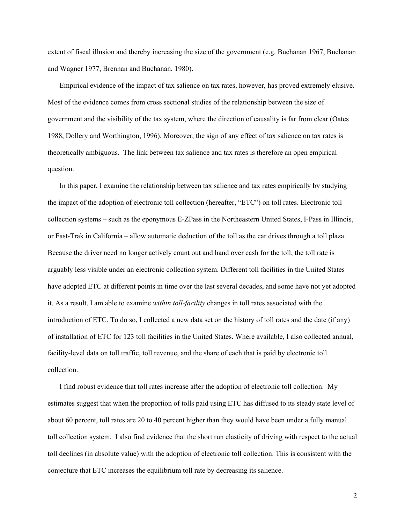extent of fiscal illusion and thereby increasing the size of the government (e.g. Buchanan 1967, Buchanan and Wagner 1977, Brennan and Buchanan, 1980).

Empirical evidence of the impact of tax salience on tax rates, however, has proved extremely elusive. Most of the evidence comes from cross sectional studies of the relationship between the size of government and the visibility of the tax system, where the direction of causality is far from clear (Oates 1988, Dollery and Worthington, 1996). Moreover, the sign of any effect of tax salience on tax rates is theoretically ambiguous. The link between tax salience and tax rates is therefore an open empirical question.

In this paper, I examine the relationship between tax salience and tax rates empirically by studying the impact of the adoption of electronic toll collection (hereafter, "ETC") on toll rates. Electronic toll collection systems – such as the eponymous E-ZPass in the Northeastern United States, I-Pass in Illinois, or Fast-Trak in California – allow automatic deduction of the toll as the car drives through a toll plaza. Because the driver need no longer actively count out and hand over cash for the toll, the toll rate is arguably less visible under an electronic collection system. Different toll facilities in the United States have adopted ETC at different points in time over the last several decades, and some have not yet adopted it. As a result, I am able to examine *within toll-facility* changes in toll rates associated with the introduction of ETC. To do so, I collected a new data set on the history of toll rates and the date (if any) of installation of ETC for 123 toll facilities in the United States. Where available, I also collected annual, facility-level data on toll traffic, toll revenue, and the share of each that is paid by electronic toll collection.

I find robust evidence that toll rates increase after the adoption of electronic toll collection. My estimates suggest that when the proportion of tolls paid using ETC has diffused to its steady state level of about 60 percent, toll rates are 20 to 40 percent higher than they would have been under a fully manual toll collection system. I also find evidence that the short run elasticity of driving with respect to the actual toll declines (in absolute value) with the adoption of electronic toll collection. This is consistent with the conjecture that ETC increases the equilibrium toll rate by decreasing its salience.

2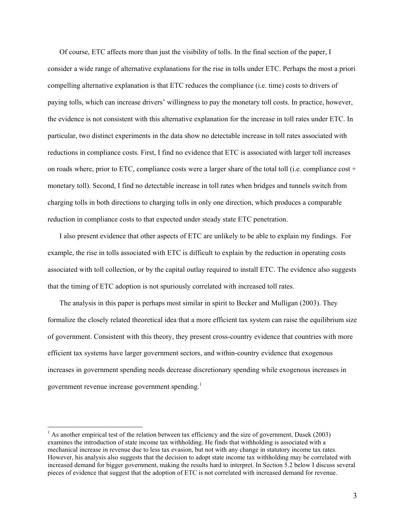Of course, ETC affects more than just the visibility of tolls. In the final section of the paper, I consider a wide range of alternative explanations for the rise in tolls under ETC. Perhaps the most a priori compelling alternative explanation is that ETC reduces the compliance (i.e. time) costs to drivers of paying tolls, which can increase drivers' willingness to pay the monetary toll costs. In practice, however, the evidence is not consistent with this alternative explanation for the increase in toll rates under ETC. In particular, two distinct experiments in the data show no detectable increase in toll rates associated with reductions in compliance costs. First, I find no evidence that ETC is associated with larger toll increases on roads where, prior to ETC, compliance costs were a larger share of the total toll (i.e. compliance cost + monetary toll). Second, I find no detectable increase in toll rates when bridges and tunnels switch from charging tolls in both directions to charging tolls in only one direction, which produces a comparable reduction in compliance costs to that expected under steady state ETC penetration.

I also present evidence that other aspects of ETC are unlikely to be able to explain my findings. For example, the rise in tolls associated with ETC is difficult to explain by the reduction in operating costs associated with toll collection, or by the capital outlay required to install ETC. The evidence also suggests that the timing of ETC adoption is not spuriously correlated with increased toll rates.

The analysis in this paper is perhaps most similar in spirit to Becker and Mulligan (2003). They formalize the closely related theoretical idea that a more efficient tax system can raise the equilibrium size of government. Consistent with this theory, they present cross-country evidence that countries with more efficient tax systems have larger government sectors, and within-country evidence that exogenous increases in government spending needs decrease discretionary spending while exogenous increases in government revenue increase government spending.<sup>1</sup>

 $\overline{a}$ 

 $<sup>1</sup>$  As another empirical test of the relation between tax efficiency and the size of government, Dusek (2003)</sup> examines the introduction of state income tax withholding. He finds that withholding is associated with a mechanical increase in revenue due to less tax evasion, but not with any change in statutory income tax rates. However, his analysis also suggests that the decision to adopt state income tax withholding may be correlated with increased demand for bigger government, making the results hard to interpret. In Section 5.2 below I discuss several pieces of evidence that suggest that the adoption of ETC is not correlated with increased demand for revenue.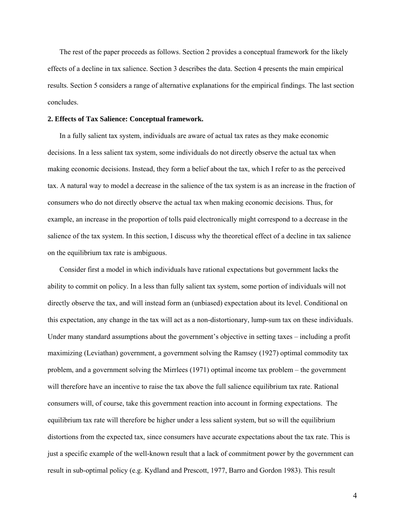The rest of the paper proceeds as follows. Section 2 provides a conceptual framework for the likely effects of a decline in tax salience. Section 3 describes the data. Section 4 presents the main empirical results. Section 5 considers a range of alternative explanations for the empirical findings. The last section concludes.

#### **2. Effects of Tax Salience: Conceptual framework.**

In a fully salient tax system, individuals are aware of actual tax rates as they make economic decisions. In a less salient tax system, some individuals do not directly observe the actual tax when making economic decisions. Instead, they form a belief about the tax, which I refer to as the perceived tax. A natural way to model a decrease in the salience of the tax system is as an increase in the fraction of consumers who do not directly observe the actual tax when making economic decisions. Thus, for example, an increase in the proportion of tolls paid electronically might correspond to a decrease in the salience of the tax system. In this section, I discuss why the theoretical effect of a decline in tax salience on the equilibrium tax rate is ambiguous.

Consider first a model in which individuals have rational expectations but government lacks the ability to commit on policy. In a less than fully salient tax system, some portion of individuals will not directly observe the tax, and will instead form an (unbiased) expectation about its level. Conditional on this expectation, any change in the tax will act as a non-distortionary, lump-sum tax on these individuals. Under many standard assumptions about the government's objective in setting taxes – including a profit maximizing (Leviathan) government, a government solving the Ramsey (1927) optimal commodity tax problem, and a government solving the Mirrlees (1971) optimal income tax problem – the government will therefore have an incentive to raise the tax above the full salience equilibrium tax rate. Rational consumers will, of course, take this government reaction into account in forming expectations. The equilibrium tax rate will therefore be higher under a less salient system, but so will the equilibrium distortions from the expected tax, since consumers have accurate expectations about the tax rate. This is just a specific example of the well-known result that a lack of commitment power by the government can result in sub-optimal policy (e.g. Kydland and Prescott, 1977, Barro and Gordon 1983). This result

4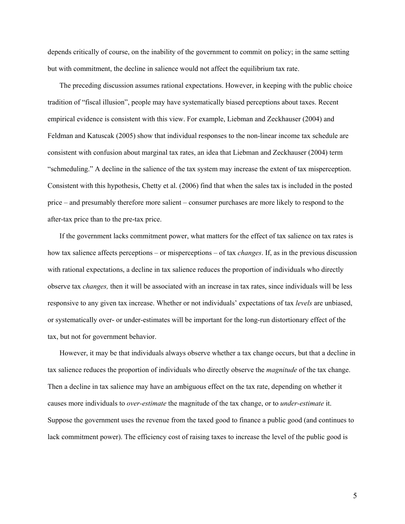depends critically of course, on the inability of the government to commit on policy; in the same setting but with commitment, the decline in salience would not affect the equilibrium tax rate.

The preceding discussion assumes rational expectations. However, in keeping with the public choice tradition of "fiscal illusion", people may have systematically biased perceptions about taxes. Recent empirical evidence is consistent with this view. For example, Liebman and Zeckhauser (2004) and Feldman and Katuscak (2005) show that individual responses to the non-linear income tax schedule are consistent with confusion about marginal tax rates, an idea that Liebman and Zeckhauser (2004) term "schmeduling." A decline in the salience of the tax system may increase the extent of tax misperception. Consistent with this hypothesis, Chetty et al. (2006) find that when the sales tax is included in the posted price – and presumably therefore more salient – consumer purchases are more likely to respond to the after-tax price than to the pre-tax price.

If the government lacks commitment power, what matters for the effect of tax salience on tax rates is how tax salience affects perceptions – or misperceptions – of tax *changes*. If, as in the previous discussion with rational expectations, a decline in tax salience reduces the proportion of individuals who directly observe tax *changes,* then it will be associated with an increase in tax rates, since individuals will be less responsive to any given tax increase. Whether or not individuals' expectations of tax *levels* are unbiased, or systematically over- or under-estimates will be important for the long-run distortionary effect of the tax, but not for government behavior.

However, it may be that individuals always observe whether a tax change occurs, but that a decline in tax salience reduces the proportion of individuals who directly observe the *magnitude* of the tax change. Then a decline in tax salience may have an ambiguous effect on the tax rate, depending on whether it causes more individuals to *over-estimate* the magnitude of the tax change, or to *under-estimate* it. Suppose the government uses the revenue from the taxed good to finance a public good (and continues to lack commitment power). The efficiency cost of raising taxes to increase the level of the public good is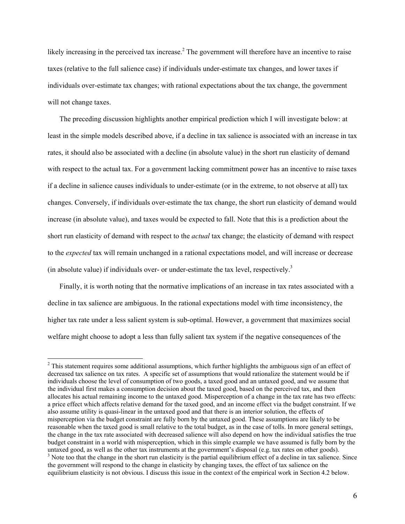likely increasing in the perceived tax increase.<sup>2</sup> The government will therefore have an incentive to raise taxes (relative to the full salience case) if individuals under-estimate tax changes, and lower taxes if individuals over-estimate tax changes; with rational expectations about the tax change, the government will not change taxes.

The preceding discussion highlights another empirical prediction which I will investigate below: at least in the simple models described above, if a decline in tax salience is associated with an increase in tax rates, it should also be associated with a decline (in absolute value) in the short run elasticity of demand with respect to the actual tax. For a government lacking commitment power has an incentive to raise taxes if a decline in salience causes individuals to under-estimate (or in the extreme, to not observe at all) tax changes. Conversely, if individuals over-estimate the tax change, the short run elasticity of demand would increase (in absolute value), and taxes would be expected to fall. Note that this is a prediction about the short run elasticity of demand with respect to the *actual* tax change; the elasticity of demand with respect to the *expected* tax will remain unchanged in a rational expectations model, and will increase or decrease (in absolute value) if individuals over- or under-estimate the tax level, respectively.<sup>3</sup>

Finally, it is worth noting that the normative implications of an increase in tax rates associated with a decline in tax salience are ambiguous. In the rational expectations model with time inconsistency, the higher tax rate under a less salient system is sub-optimal. However, a government that maximizes social welfare might choose to adopt a less than fully salient tax system if the negative consequences of the

 $\overline{a}$ 

 $2$ <sup>2</sup> This statement requires some additional assumptions, which further highlights the ambiguous sign of an effect of decreased tax salience on tax rates. A specific set of assumptions that would rationalize the statement would be if individuals choose the level of consumption of two goods, a taxed good and an untaxed good, and we assume that the individual first makes a consumption decision about the taxed good, based on the perceived tax, and then allocates his actual remaining income to the untaxed good. Misperception of a change in the tax rate has two effects: a price effect which affects relative demand for the taxed good, and an income effect via the budget constraint. If we also assume utility is quasi-linear in the untaxed good and that there is an interior solution, the effects of misperception via the budget constraint are fully born by the untaxed good. These assumptions are likely to be reasonable when the taxed good is small relative to the total budget, as in the case of tolls. In more general settings, the change in the tax rate associated with decreased salience will also depend on how the individual satisfies the true budget constraint in a world with misperception, which in this simple example we have assumed is fully born by the untaxed good, as well as the other tax instruments at the government's disposal (e.g. tax rates on other goods).  $3$  Note too that the change in the short run elasticity is the partial equilibrium effect of a decline in tax salience. Since the government will respond to the change in elasticity by changing taxes, the effect of tax salience on the equilibrium elasticity is not obvious. I discuss this issue in the context of the empirical work in Section 4.2 below.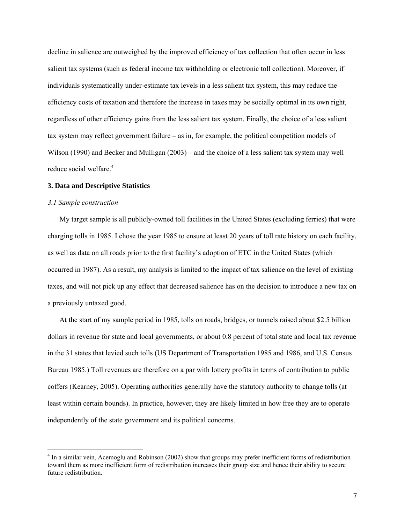decline in salience are outweighed by the improved efficiency of tax collection that often occur in less salient tax systems (such as federal income tax withholding or electronic toll collection). Moreover, if individuals systematically under-estimate tax levels in a less salient tax system, this may reduce the efficiency costs of taxation and therefore the increase in taxes may be socially optimal in its own right, regardless of other efficiency gains from the less salient tax system. Finally, the choice of a less salient tax system may reflect government failure – as in, for example, the political competition models of Wilson (1990) and Becker and Mulligan (2003) – and the choice of a less salient tax system may well reduce social welfare.<sup>4</sup>

# **3. Data and Descriptive Statistics**

#### *3.1 Sample construction*

 $\overline{a}$ 

My target sample is all publicly-owned toll facilities in the United States (excluding ferries) that were charging tolls in 1985. I chose the year 1985 to ensure at least 20 years of toll rate history on each facility, as well as data on all roads prior to the first facility's adoption of ETC in the United States (which occurred in 1987). As a result, my analysis is limited to the impact of tax salience on the level of existing taxes, and will not pick up any effect that decreased salience has on the decision to introduce a new tax on a previously untaxed good.

At the start of my sample period in 1985, tolls on roads, bridges, or tunnels raised about \$2.5 billion dollars in revenue for state and local governments, or about 0.8 percent of total state and local tax revenue in the 31 states that levied such tolls (US Department of Transportation 1985 and 1986, and U.S. Census Bureau 1985.) Toll revenues are therefore on a par with lottery profits in terms of contribution to public coffers (Kearney, 2005). Operating authorities generally have the statutory authority to change tolls (at least within certain bounds). In practice, however, they are likely limited in how free they are to operate independently of the state government and its political concerns.

<sup>&</sup>lt;sup>4</sup> In a similar vein, Acemoglu and Robinson (2002) show that groups may prefer inefficient forms of redistribution toward them as more inefficient form of redistribution increases their group size and hence their ability to secure future redistribution.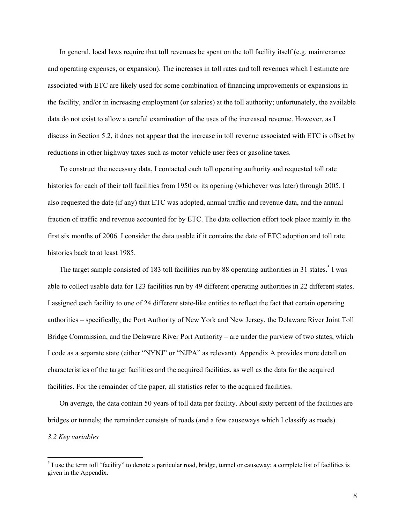In general, local laws require that toll revenues be spent on the toll facility itself (e.g. maintenance and operating expenses, or expansion). The increases in toll rates and toll revenues which I estimate are associated with ETC are likely used for some combination of financing improvements or expansions in the facility, and/or in increasing employment (or salaries) at the toll authority; unfortunately, the available data do not exist to allow a careful examination of the uses of the increased revenue. However, as I discuss in Section 5.2, it does not appear that the increase in toll revenue associated with ETC is offset by reductions in other highway taxes such as motor vehicle user fees or gasoline taxes.

To construct the necessary data, I contacted each toll operating authority and requested toll rate histories for each of their toll facilities from 1950 or its opening (whichever was later) through 2005. I also requested the date (if any) that ETC was adopted, annual traffic and revenue data, and the annual fraction of traffic and revenue accounted for by ETC. The data collection effort took place mainly in the first six months of 2006. I consider the data usable if it contains the date of ETC adoption and toll rate histories back to at least 1985.

The target sample consisted of 183 toll facilities run by 88 operating authorities in 31 states.<sup>5</sup> I was able to collect usable data for 123 facilities run by 49 different operating authorities in 22 different states. I assigned each facility to one of 24 different state-like entities to reflect the fact that certain operating authorities – specifically, the Port Authority of New York and New Jersey, the Delaware River Joint Toll Bridge Commission, and the Delaware River Port Authority – are under the purview of two states, which I code as a separate state (either "NYNJ" or "NJPA" as relevant). Appendix A provides more detail on characteristics of the target facilities and the acquired facilities, as well as the data for the acquired facilities. For the remainder of the paper, all statistics refer to the acquired facilities.

On average, the data contain 50 years of toll data per facility. About sixty percent of the facilities are bridges or tunnels; the remainder consists of roads (and a few causeways which I classify as roads). *3.2 Key variables* 

<sup>&</sup>lt;sup>5</sup> I use the term toll "facility" to denote a particular road, bridge, tunnel or causeway; a complete list of facilities is given in the Appendix.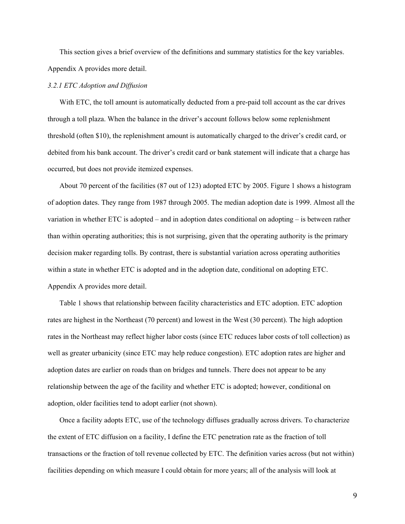This section gives a brief overview of the definitions and summary statistics for the key variables. Appendix A provides more detail.

#### *3.2.1 ETC Adoption and Diffusion*

With ETC, the toll amount is automatically deducted from a pre-paid toll account as the car drives through a toll plaza. When the balance in the driver's account follows below some replenishment threshold (often \$10), the replenishment amount is automatically charged to the driver's credit card, or debited from his bank account. The driver's credit card or bank statement will indicate that a charge has occurred, but does not provide itemized expenses.

About 70 percent of the facilities (87 out of 123) adopted ETC by 2005. Figure 1 shows a histogram of adoption dates. They range from 1987 through 2005. The median adoption date is 1999. Almost all the variation in whether ETC is adopted – and in adoption dates conditional on adopting – is between rather than within operating authorities; this is not surprising, given that the operating authority is the primary decision maker regarding tolls. By contrast, there is substantial variation across operating authorities within a state in whether ETC is adopted and in the adoption date, conditional on adopting ETC. Appendix A provides more detail.

Table 1 shows that relationship between facility characteristics and ETC adoption. ETC adoption rates are highest in the Northeast (70 percent) and lowest in the West (30 percent). The high adoption rates in the Northeast may reflect higher labor costs (since ETC reduces labor costs of toll collection) as well as greater urbanicity (since ETC may help reduce congestion). ETC adoption rates are higher and adoption dates are earlier on roads than on bridges and tunnels. There does not appear to be any relationship between the age of the facility and whether ETC is adopted; however, conditional on adoption, older facilities tend to adopt earlier (not shown).

Once a facility adopts ETC, use of the technology diffuses gradually across drivers. To characterize the extent of ETC diffusion on a facility, I define the ETC penetration rate as the fraction of toll transactions or the fraction of toll revenue collected by ETC. The definition varies across (but not within) facilities depending on which measure I could obtain for more years; all of the analysis will look at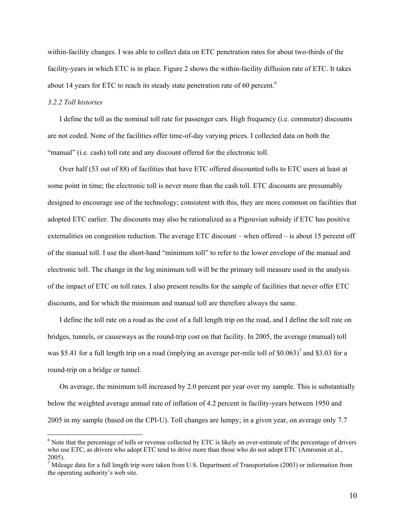within-facility changes. I was able to collect data on ETC penetration rates for about two-thirds of the facility-years in which ETC is in place. Figure 2 shows the within-facility diffusion rate of ETC. It takes about 14 years for ETC to reach its steady state penetration rate of 60 percent.<sup>6</sup>

# *3.2.2 Toll histories*

 $\overline{a}$ 

I define the toll as the nominal toll rate for passenger cars. High frequency (i.e. commuter) discounts are not coded. None of the facilities offer time-of-day varying prices. I collected data on both the "manual" (i.e. cash) toll rate and any discount offered for the electronic toll.

Over half (53 out of 88) of facilities that have ETC offered discounted tolls to ETC users at least at some point in time; the electronic toll is never more than the cash toll. ETC discounts are presumably designed to encourage use of the technology; consistent with this, they are more common on facilities that adopted ETC earlier. The discounts may also be rationalized as a Pigouvian subsidy if ETC has positive externalities on congestion reduction. The average ETC discount – when offered – is about 15 percent off of the manual toll. I use the short-hand "minimum toll" to refer to the lower envelope of the manual and electronic toll. The change in the log minimum toll will be the primary toll measure used in the analysis of the impact of ETC on toll rates. I also present results for the sample of facilities that never offer ETC discounts, and for which the minimum and manual toll are therefore always the same.

I define the toll rate on a road as the cost of a full length trip on the road, and I define the toll rate on bridges, tunnels, or causeways as the round-trip cost on that facility. In 2005, the average (manual) toll was \$5.41 for a full length trip on a road (implying an average per-mile toll of  $$0.063$ )<sup>7</sup> and \$3.03 for a round-trip on a bridge or tunnel.

On average, the minimum toll increased by 2.0 percent per year over my sample. This is substantially below the weighted average annual rate of inflation of 4.2 percent in facility-years between 1950 and 2005 in my sample (based on the CPI-U). Toll changes are lumpy; in a given year, on average only 7.7

 $<sup>6</sup>$  Note that the percentage of tolls or revenue collected by ETC is likely an over-estimate of the percentage of drivers</sup> who use ETC, as drivers who adopt ETC tend to drive more than those who do not adopt ETC (Amromin et al., 2005).

<sup>&</sup>lt;sup>7</sup> Mileage data for a full length trip were taken from U.S. Department of Transportation (2003) or information from the operating authority's web site.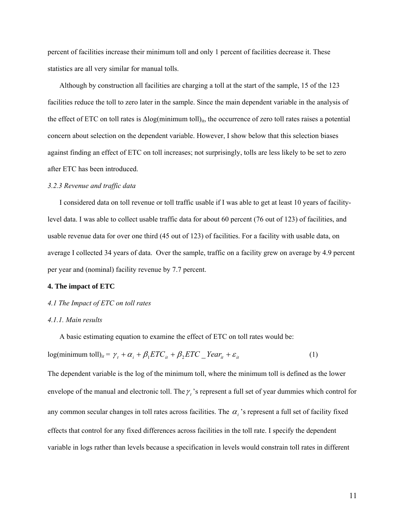percent of facilities increase their minimum toll and only 1 percent of facilities decrease it. These statistics are all very similar for manual tolls.

Although by construction all facilities are charging a toll at the start of the sample, 15 of the 123 facilities reduce the toll to zero later in the sample. Since the main dependent variable in the analysis of the effect of ETC on toll rates is  $\Delta$ log(minimum toll)<sub>it</sub>, the occurrence of zero toll rates raises a potential concern about selection on the dependent variable. However, I show below that this selection biases against finding an effect of ETC on toll increases; not surprisingly, tolls are less likely to be set to zero after ETC has been introduced.

#### *3.2.3 Revenue and traffic data*

I considered data on toll revenue or toll traffic usable if I was able to get at least 10 years of facilitylevel data. I was able to collect usable traffic data for about 60 percent (76 out of 123) of facilities, and usable revenue data for over one third (45 out of 123) of facilities. For a facility with usable data, on average I collected 34 years of data. Over the sample, traffic on a facility grew on average by 4.9 percent per year and (nominal) facility revenue by 7.7 percent.

#### **4. The impact of ETC**

## *4.1 The Impact of ETC on toll rates*

#### *4.1.1. Main results*

A basic estimating equation to examine the effect of ETC on toll rates would be:

$$
log(minimum tolI)it = \gamma_t + \alpha_i + \beta_1 ETC_{it} + \beta_2 ETC\_Year_{it} + \varepsilon_{it}
$$
\n(1)

The dependent variable is the log of the minimum toll, where the minimum toll is defined as the lower envelope of the manual and electronic toll. The  $\gamma_t$  's represent a full set of year dummies which control for any common secular changes in toll rates across facilities. The  $\alpha_i$ 's represent a full set of facility fixed effects that control for any fixed differences across facilities in the toll rate. I specify the dependent variable in logs rather than levels because a specification in levels would constrain toll rates in different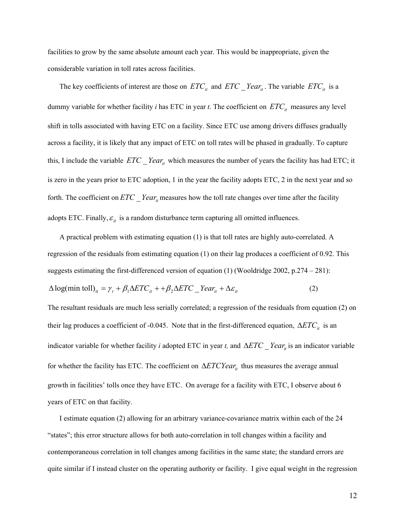facilities to grow by the same absolute amount each year. This would be inappropriate, given the considerable variation in toll rates across facilities.

The key coefficients of interest are those on  $ETC_{it}$  and  $ETC_{it}$  *Year<sub>it</sub>*. The variable  $ETC_{it}$  is a dummy variable for whether facility *i* has ETC in year *t*. The coefficient on  $ETC<sub>it</sub>$  measures any level shift in tolls associated with having ETC on a facility. Since ETC use among drivers diffuses gradually across a facility, it is likely that any impact of ETC on toll rates will be phased in gradually. To capture this, I include the variable  $ETC$   $Year_{it}$  which measures the number of years the facility has had ETC; it is zero in the years prior to ETC adoption, 1 in the year the facility adopts ETC, 2 in the next year and so forth. The coefficient on  $ETC$  *\_Year<sub>it</sub>* measures how the toll rate changes over time after the facility adopts ETC. Finally,  $\varepsilon$ <sub>it</sub> is a random disturbance term capturing all omitted influences.

A practical problem with estimating equation (1) is that toll rates are highly auto-correlated. A regression of the residuals from estimating equation (1) on their lag produces a coefficient of 0.92. This suggests estimating the first-differenced version of equation (1) (Wooldridge 2002, p.274 – 281):  $\Delta \log(\text{min} \text{ toll})_{it} = \gamma_t + \beta_1 \Delta ETC_{it} + \beta_2 \Delta ETC_{it} = Year_{it} + \Delta \varepsilon_{it}$  (2)

The resultant residuals are much less serially correlated; a regression of the residuals from equation (2) on their lag produces a coefficient of -0.045. Note that in the first-differenced equation,  $\Delta ETC_{it}$  is an indicator variable for whether facility *i* adopted ETC in year *t*, and  $\Delta ETC - Year_{it}$  is an indicator variable for whether the facility has ETC. The coefficient on  $\Delta ETCYear$ <sub>it</sub> thus measures the average annual growth in facilities' tolls once they have ETC. On average for a facility with ETC, I observe about 6 years of ETC on that facility.

I estimate equation (2) allowing for an arbitrary variance-covariance matrix within each of the 24 "states"; this error structure allows for both auto-correlation in toll changes within a facility and contemporaneous correlation in toll changes among facilities in the same state; the standard errors are quite similar if I instead cluster on the operating authority or facility. I give equal weight in the regression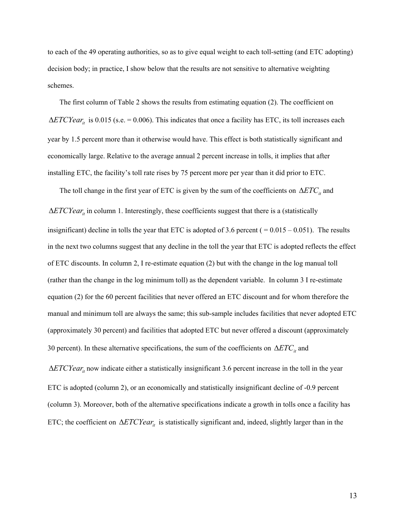to each of the 49 operating authorities, so as to give equal weight to each toll-setting (and ETC adopting) decision body; in practice, I show below that the results are not sensitive to alternative weighting schemes.

The first column of Table 2 shows the results from estimating equation (2). The coefficient on  $\Delta ETCYear_{it}$  is 0.015 (s.e. = 0.006). This indicates that once a facility has ETC, its toll increases each year by 1.5 percent more than it otherwise would have. This effect is both statistically significant and economically large. Relative to the average annual 2 percent increase in tolls, it implies that after installing ETC, the facility's toll rate rises by 75 percent more per year than it did prior to ETC.

The toll change in the first year of ETC is given by the sum of the coefficients on  $\Delta ETC_i$  and  $\Delta ETCYear_i$  in column 1. Interestingly, these coefficients suggest that there is a (statistically insignificant) decline in tolls the year that ETC is adopted of 3.6 percent ( $= 0.015 - 0.051$ ). The results in the next two columns suggest that any decline in the toll the year that ETC is adopted reflects the effect of ETC discounts. In column 2, I re-estimate equation (2) but with the change in the log manual toll (rather than the change in the log minimum toll) as the dependent variable. In column 3 I re-estimate equation (2) for the 60 percent facilities that never offered an ETC discount and for whom therefore the manual and minimum toll are always the same; this sub-sample includes facilities that never adopted ETC (approximately 30 percent) and facilities that adopted ETC but never offered a discount (approximately 30 percent). In these alternative specifications, the sum of the coefficients on  $\Delta ETC_i$  and

 $\Delta ETCYear_i$  now indicate either a statistically insignificant 3.6 percent increase in the toll in the year ETC is adopted (column 2), or an economically and statistically insignificant decline of -0.9 percent (column 3). Moreover, both of the alternative specifications indicate a growth in tolls once a facility has ETC; the coefficient on  $\Delta ETCYear_i$  is statistically significant and, indeed, slightly larger than in the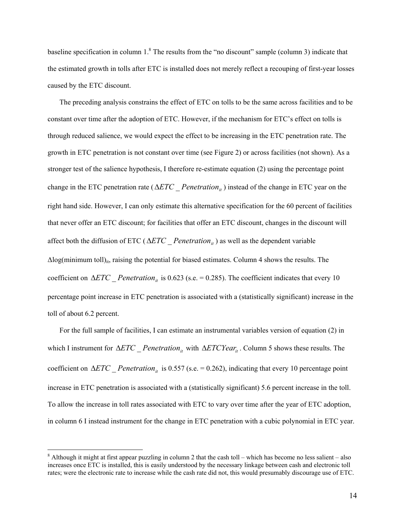baseline specification in column  $1<sup>8</sup>$ . The results from the "no discount" sample (column 3) indicate that the estimated growth in tolls after ETC is installed does not merely reflect a recouping of first-year losses caused by the ETC discount.

The preceding analysis constrains the effect of ETC on tolls to be the same across facilities and to be constant over time after the adoption of ETC. However, if the mechanism for ETC's effect on tolls is through reduced salience, we would expect the effect to be increasing in the ETC penetration rate. The growth in ETC penetration is not constant over time (see Figure 2) or across facilities (not shown). As a stronger test of the salience hypothesis, I therefore re-estimate equation (2) using the percentage point change in the ETC penetration rate ( $\Delta ETC$  *Penetration<sub>ii</sub>*) instead of the change in ETC year on the right hand side. However, I can only estimate this alternative specification for the 60 percent of facilities that never offer an ETC discount; for facilities that offer an ETC discount, changes in the discount will affect both the diffusion of ETC ( $\triangle ETC$  *Penetration<sub>it</sub>*) as well as the dependent variable  $\Delta$ log(minimum toll)<sub>it</sub>, raising the potential for biased estimates. Column 4 shows the results. The coefficient on  $\Delta ETC$  *Penetration<sub>it</sub>* is 0.623 (s.e. = 0.285). The coefficient indicates that every 10 percentage point increase in ETC penetration is associated with a (statistically significant) increase in the toll of about 6.2 percent.

For the full sample of facilities, I can estimate an instrumental variables version of equation (2) in which I instrument for  $ΔETC$  *Penetration<sub>it</sub>* with  $ΔETCYear$ <sub>*it*</sub>. Column 5 shows these results. The coefficient on  $\Delta ETC$  *Penetration<sub>it</sub>* is 0.557 (s.e. = 0.262), indicating that every 10 percentage point increase in ETC penetration is associated with a (statistically significant) 5.6 percent increase in the toll. To allow the increase in toll rates associated with ETC to vary over time after the year of ETC adoption, in column 6 I instead instrument for the change in ETC penetration with a cubic polynomial in ETC year.

 $\overline{a}$ 

 $8$  Although it might at first appear puzzling in column 2 that the cash toll – which has become no less salient – also increases once ETC is installed, this is easily understood by the necessary linkage between cash and electronic toll rates; were the electronic rate to increase while the cash rate did not, this would presumably discourage use of ETC.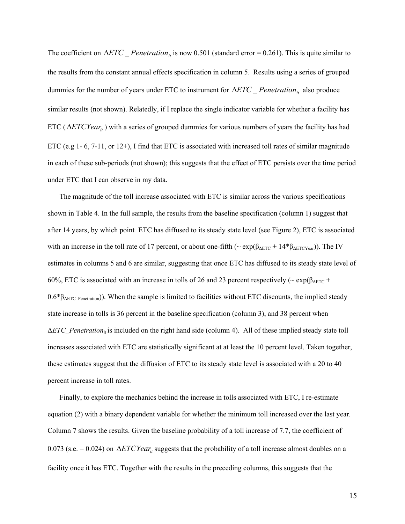The coefficient on  $\Delta ETC$  *Penetration<sub>it</sub>* is now 0.501 (standard error = 0.261). This is quite similar to the results from the constant annual effects specification in column 5. Results using a series of grouped dummies for the number of years under ETC to instrument for  $\Delta ETC$  *Penetration<sub>it</sub>* also produce similar results (not shown). Relatedly, if I replace the single indicator variable for whether a facility has ETC ( $\Delta ETCYear_{it}$ ) with a series of grouped dummies for various numbers of years the facility has had ETC (e.g 1- 6, 7-11, or 12+), I find that ETC is associated with increased toll rates of similar magnitude in each of these sub-periods (not shown); this suggests that the effect of ETC persists over the time period under ETC that I can observe in my data.

The magnitude of the toll increase associated with ETC is similar across the various specifications shown in Table 4. In the full sample, the results from the baseline specification (column 1) suggest that after 14 years, by which point ETC has diffused to its steady state level (see Figure 2), ETC is associated with an increase in the toll rate of 17 percent, or about one-fifth ( $\sim \exp(\beta_{\text{AETC}} + 14*\beta_{\text{AETCYear}})$ ). The IV estimates in columns 5 and 6 are similar, suggesting that once ETC has diffused to its steady state level of 60%, ETC is associated with an increase in tolls of 26 and 23 percent respectively ( $\sim \exp(\beta_{\text{AETC}} + \frac{1}{2}$  $0.6*$  $\beta_{\text{AETCu}}$  Penetration)). When the sample is limited to facilities without ETC discounts, the implied steady state increase in tolls is 36 percent in the baseline specification (column 3), and 38 percent when Δ*ETC\_Penetrationit* is included on the right hand side (column 4). All of these implied steady state toll increases associated with ETC are statistically significant at at least the 10 percent level. Taken together, these estimates suggest that the diffusion of ETC to its steady state level is associated with a 20 to 40 percent increase in toll rates.

Finally, to explore the mechanics behind the increase in tolls associated with ETC, I re-estimate equation (2) with a binary dependent variable for whether the minimum toll increased over the last year. Column 7 shows the results. Given the baseline probability of a toll increase of 7.7, the coefficient of 0.073 (s.e. = 0.024) on  $\Delta ETCYear_i$  suggests that the probability of a toll increase almost doubles on a facility once it has ETC. Together with the results in the preceding columns, this suggests that the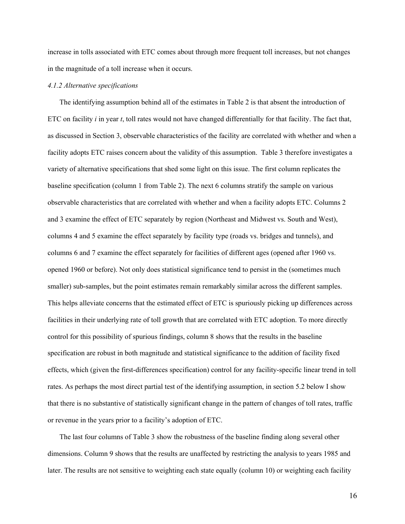increase in tolls associated with ETC comes about through more frequent toll increases, but not changes in the magnitude of a toll increase when it occurs.

#### *4.1.2 Alternative specifications*

The identifying assumption behind all of the estimates in Table 2 is that absent the introduction of ETC on facility  $i$  in year  $t$ , toll rates would not have changed differentially for that facility. The fact that, as discussed in Section 3, observable characteristics of the facility are correlated with whether and when a facility adopts ETC raises concern about the validity of this assumption. Table 3 therefore investigates a variety of alternative specifications that shed some light on this issue. The first column replicates the baseline specification (column 1 from Table 2). The next 6 columns stratify the sample on various observable characteristics that are correlated with whether and when a facility adopts ETC. Columns 2 and 3 examine the effect of ETC separately by region (Northeast and Midwest vs. South and West), columns 4 and 5 examine the effect separately by facility type (roads vs. bridges and tunnels), and columns 6 and 7 examine the effect separately for facilities of different ages (opened after 1960 vs. opened 1960 or before). Not only does statistical significance tend to persist in the (sometimes much smaller) sub-samples, but the point estimates remain remarkably similar across the different samples. This helps alleviate concerns that the estimated effect of ETC is spuriously picking up differences across facilities in their underlying rate of toll growth that are correlated with ETC adoption. To more directly control for this possibility of spurious findings, column 8 shows that the results in the baseline specification are robust in both magnitude and statistical significance to the addition of facility fixed effects, which (given the first-differences specification) control for any facility-specific linear trend in toll rates. As perhaps the most direct partial test of the identifying assumption, in section 5.2 below I show that there is no substantive of statistically significant change in the pattern of changes of toll rates, traffic or revenue in the years prior to a facility's adoption of ETC.

The last four columns of Table 3 show the robustness of the baseline finding along several other dimensions. Column 9 shows that the results are unaffected by restricting the analysis to years 1985 and later. The results are not sensitive to weighting each state equally (column 10) or weighting each facility

16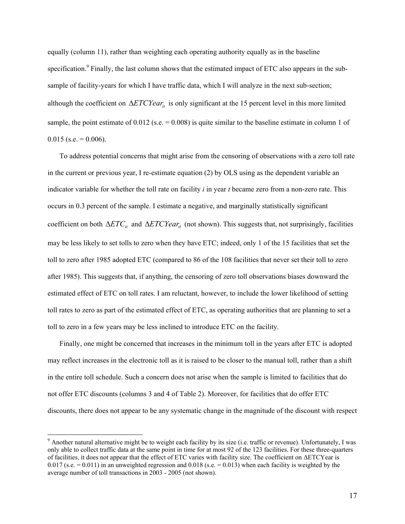equally (column 11), rather than weighting each operating authority equally as in the baseline specification.<sup>9</sup> Finally, the last column shows that the estimated impact of ETC also appears in the subsample of facility-years for which I have traffic data, which I will analyze in the next sub-section; although the coefficient on  $\Delta ETCYear_{it}$  is only significant at the 15 percent level in this more limited sample, the point estimate of  $0.012$  (s.e.  $= 0.008$ ) is quite similar to the baseline estimate in column 1 of  $0.015$  (s.e. = 0.006).

To address potential concerns that might arise from the censoring of observations with a zero toll rate in the current or previous year, I re-estimate equation (2) by OLS using as the dependent variable an indicator variable for whether the toll rate on facility *i* in year *t* became zero from a non-zero rate. This occurs in 0.3 percent of the sample. I estimate a negative, and marginally statistically significant coefficient on both  $\Delta ETC_i$  and  $\Delta ETCYear_i$  (not shown). This suggests that, not surprisingly, facilities may be less likely to set tolls to zero when they have ETC; indeed, only 1 of the 15 facilities that set the toll to zero after 1985 adopted ETC (compared to 86 of the 108 facilities that never set their toll to zero after 1985). This suggests that, if anything, the censoring of zero toll observations biases downward the estimated effect of ETC on toll rates. I am reluctant, however, to include the lower likelihood of setting toll rates to zero as part of the estimated effect of ETC, as operating authorities that are planning to set a toll to zero in a few years may be less inclined to introduce ETC on the facility.

Finally, one might be concerned that increases in the minimum toll in the years after ETC is adopted may reflect increases in the electronic toll as it is raised to be closer to the manual toll, rather than a shift in the entire toll schedule. Such a concern does not arise when the sample is limited to facilities that do not offer ETC discounts (columns 3 and 4 of Table 2). Moreover, for facilities that do offer ETC discounts, there does not appear to be any systematic change in the magnitude of the discount with respect

 $\overline{a}$ 

 $9$  Another natural alternative might be to weight each facility by its size (i.e. traffic or revenue). Unfortunately, I was only able to collect traffic data at the same point in time for at most 92 of the 123 facilities. For these three-quarters of facilities, it does not appear that the effect of ETC varies with facility size. The coefficient on ΔETCYear is 0.017 (s.e.  $= 0.011$ ) in an unweighted regression and 0.018 (s.e.  $= 0.013$ ) when each facility is weighted by the average number of toll transactions in 2003 - 2005 (not shown).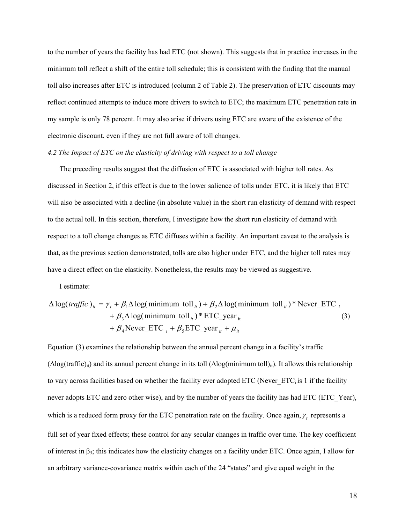to the number of years the facility has had ETC (not shown). This suggests that in practice increases in the minimum toll reflect a shift of the entire toll schedule; this is consistent with the finding that the manual toll also increases after ETC is introduced (column 2 of Table 2). The preservation of ETC discounts may reflect continued attempts to induce more drivers to switch to ETC; the maximum ETC penetration rate in my sample is only 78 percent. It may also arise if drivers using ETC are aware of the existence of the electronic discount, even if they are not full aware of toll changes.

# *4.2 The Impact of ETC on the elasticity of driving with respect to a toll change*

The preceding results suggest that the diffusion of ETC is associated with higher toll rates. As discussed in Section 2, if this effect is due to the lower salience of tolls under ETC, it is likely that ETC will also be associated with a decline (in absolute value) in the short run elasticity of demand with respect to the actual toll. In this section, therefore, I investigate how the short run elasticity of demand with respect to a toll change changes as ETC diffuses within a facility. An important caveat to the analysis is that, as the previous section demonstrated, tolls are also higher under ETC, and the higher toll rates may have a direct effect on the elasticity. Nonetheless, the results may be viewed as suggestive.

I estimate:

$$
\Delta \log(traffic)_{ii} = \gamma_t + \beta_1 \Delta \log(\text{minimum} \text{ toll}_{ii}) + \beta_2 \Delta \log(\text{minimum} \text{ toll}_{ii}) * \text{Never\_ETC}_{i} + \beta_3 \Delta \log(\text{minimum} \text{ toll}_{ii}) * \text{ETC\_year}_{it} \tag{3} + \beta_4 \text{Never\_ETC}_{i} + \beta_5 \text{ETC\_year}_{it} + \mu_{it}
$$

Equation (3) examines the relationship between the annual percent change in a facility's traffic  $(\Delta log(trainfric)_{it})$  and its annual percent change in its toll  $(\Delta log(minimum toll)_{it})$ . It allows this relationship to vary across facilities based on whether the facility ever adopted ETC (Never  $ETC<sub>i</sub>$  is 1 if the facility never adopts ETC and zero other wise), and by the number of years the facility has had ETC (ETC\_Year), which is a reduced form proxy for the ETC penetration rate on the facility. Once again,  $\gamma_t$  represents a full set of year fixed effects; these control for any secular changes in traffic over time. The key coefficient of interest in β3; this indicates how the elasticity changes on a facility under ETC. Once again, I allow for an arbitrary variance-covariance matrix within each of the 24 "states" and give equal weight in the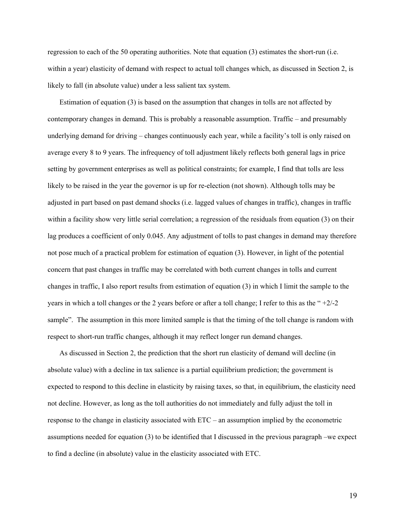regression to each of the 50 operating authorities. Note that equation (3) estimates the short-run (i.e. within a year) elasticity of demand with respect to actual toll changes which, as discussed in Section 2, is likely to fall (in absolute value) under a less salient tax system.

Estimation of equation (3) is based on the assumption that changes in tolls are not affected by contemporary changes in demand. This is probably a reasonable assumption. Traffic – and presumably underlying demand for driving – changes continuously each year, while a facility's toll is only raised on average every 8 to 9 years. The infrequency of toll adjustment likely reflects both general lags in price setting by government enterprises as well as political constraints; for example, I find that tolls are less likely to be raised in the year the governor is up for re-election (not shown). Although tolls may be adjusted in part based on past demand shocks (i.e. lagged values of changes in traffic), changes in traffic within a facility show very little serial correlation; a regression of the residuals from equation (3) on their lag produces a coefficient of only 0.045. Any adjustment of tolls to past changes in demand may therefore not pose much of a practical problem for estimation of equation (3). However, in light of the potential concern that past changes in traffic may be correlated with both current changes in tolls and current changes in traffic, I also report results from estimation of equation (3) in which I limit the sample to the years in which a toll changes or the 2 years before or after a toll change; I refer to this as the " +2/-2 sample". The assumption in this more limited sample is that the timing of the toll change is random with respect to short-run traffic changes, although it may reflect longer run demand changes.

As discussed in Section 2, the prediction that the short run elasticity of demand will decline (in absolute value) with a decline in tax salience is a partial equilibrium prediction; the government is expected to respond to this decline in elasticity by raising taxes, so that, in equilibrium, the elasticity need not decline. However, as long as the toll authorities do not immediately and fully adjust the toll in response to the change in elasticity associated with ETC – an assumption implied by the econometric assumptions needed for equation (3) to be identified that I discussed in the previous paragraph –we expect to find a decline (in absolute) value in the elasticity associated with ETC.

19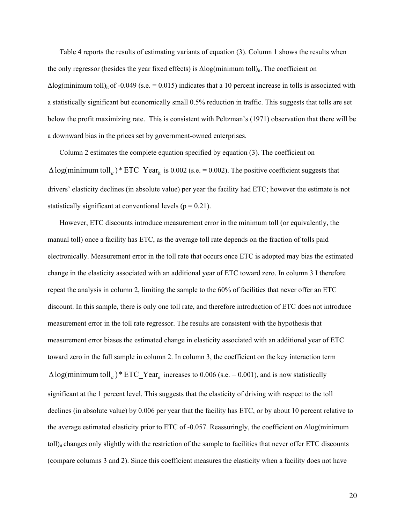Table 4 reports the results of estimating variants of equation (3). Column 1 shows the results when the only regressor (besides the year fixed effects) is  $\Delta$ log(minimum toll)<sub>it</sub>. The coefficient on  $\Delta$ log(minimum toll)<sub>it</sub> of -0.049 (s.e. = 0.015) indicates that a 10 percent increase in tolls is associated with a statistically significant but economically small 0.5% reduction in traffic. This suggests that tolls are set below the profit maximizing rate. This is consistent with Peltzman's (1971) observation that there will be a downward bias in the prices set by government-owned enterprises.

Column 2 estimates the complete equation specified by equation (3). The coefficient on  $\Delta$ log(minimum toll<sub>*it*</sub>) \* ETC\_Year<sub>it</sub> is 0.002 (s.e. = 0.002). The positive coefficient suggests that drivers' elasticity declines (in absolute value) per year the facility had ETC; however the estimate is not statistically significant at conventional levels  $(p = 0.21)$ .

However, ETC discounts introduce measurement error in the minimum toll (or equivalently, the manual toll) once a facility has ETC, as the average toll rate depends on the fraction of tolls paid electronically. Measurement error in the toll rate that occurs once ETC is adopted may bias the estimated change in the elasticity associated with an additional year of ETC toward zero. In column 3 I therefore repeat the analysis in column 2, limiting the sample to the 60% of facilities that never offer an ETC discount. In this sample, there is only one toll rate, and therefore introduction of ETC does not introduce measurement error in the toll rate regressor. The results are consistent with the hypothesis that measurement error biases the estimated change in elasticity associated with an additional year of ETC toward zero in the full sample in column 2. In column 3, the coefficient on the key interaction term  $\Delta$ log(minimum toll<sub>*it*</sub>) \* ETC\_Year<sub>it</sub> increases to 0.006 (s.e. = 0.001), and is now statistically significant at the 1 percent level. This suggests that the elasticity of driving with respect to the toll declines (in absolute value) by 0.006 per year that the facility has ETC, or by about 10 percent relative to the average estimated elasticity prior to ETC of -0.057. Reassuringly, the coefficient on Δlog(minimum toll)<sub>it</sub> changes only slightly with the restriction of the sample to facilities that never offer ETC discounts (compare columns 3 and 2). Since this coefficient measures the elasticity when a facility does not have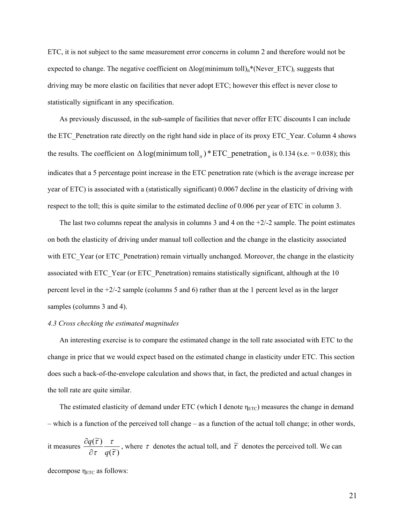ETC, it is not subject to the same measurement error concerns in column 2 and therefore would not be expected to change. The negative coefficient on  $\Delta$ log(minimum toll)<sub>it</sub>\*(Never\_ETC)<sub>i</sub> suggests that driving may be more elastic on facilities that never adopt ETC; however this effect is never close to statistically significant in any specification.

As previously discussed, in the sub-sample of facilities that never offer ETC discounts I can include the ETC\_Penetration rate directly on the right hand side in place of its proxy ETC\_Year. Column 4 shows the results. The coefficient on  $\Delta \log(\text{minimum} \text{ toll}_{it}) * ETC\_penetration_{it}$  is 0.134 (s.e. = 0.038); this indicates that a 5 percentage point increase in the ETC penetration rate (which is the average increase per year of ETC) is associated with a (statistically significant) 0.0067 decline in the elasticity of driving with respect to the toll; this is quite similar to the estimated decline of 0.006 per year of ETC in column 3.

The last two columns repeat the analysis in columns 3 and 4 on the  $+2/2$  sample. The point estimates on both the elasticity of driving under manual toll collection and the change in the elasticity associated with ETC\_Year (or ETC\_Penetration) remain virtually unchanged. Moreover, the change in the elasticity associated with ETC\_Year (or ETC\_Penetration) remains statistically significant, although at the 10 percent level in the +2/-2 sample (columns 5 and 6) rather than at the 1 percent level as in the larger samples (columns 3 and 4).

#### *4.3 Cross checking the estimated magnitudes*

An interesting exercise is to compare the estimated change in the toll rate associated with ETC to the change in price that we would expect based on the estimated change in elasticity under ETC. This section does such a back-of-the-envelope calculation and shows that, in fact, the predicted and actual changes in the toll rate are quite similar.

The estimated elasticity of demand under ETC (which I denote  $\eta_{ETC}$ ) measures the change in demand – which is a function of the perceived toll change – as a function of the actual toll change; in other words,

it measures  $\frac{\partial q(\tau)}{\partial \tau} \frac{\tau}{q(\tilde{\tau})}$  $(\widetilde{\tau})$ τ τ τ τ *q q* ∂  $\frac{\partial q(\tilde{\tau})}{\partial \tilde{\tau}} \frac{\tau}{\partial \tilde{\tau}}$ , where  $\tau$  denotes the actual toll, and  $\tilde{\tau}$  denotes the perceived toll. We can

decompose  $\eta_{ETC}$  as follows: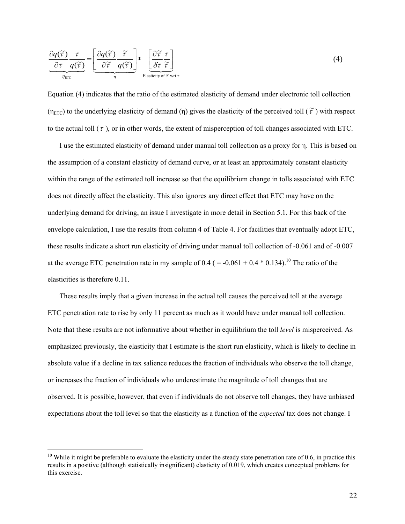$$
\frac{\partial q(\tilde{\tau})}{\partial \tau} \frac{\tau}{q(\tilde{\tau})} = \underbrace{\left[\frac{\partial q(\tilde{\tau})}{\partial \tilde{\tau}} \frac{\tilde{\tau}}{q(\tilde{\tau})}\right]}_{\eta} * \underbrace{\left[\frac{\partial \tilde{\tau}}{\partial \tau} \frac{\tau}{\tilde{\tau}}\right]}_{\text{Elasticity of } \tilde{\tau} \text{ wrt } \tau}
$$
\n(4)

Equation (4) indicates that the ratio of the estimated elasticity of demand under electronic toll collection (η<sub>ETC</sub>) to the underlying elasticity of demand (η) gives the elasticity of the perceived toll ( $\tilde{\tau}$ ) with respect to the actual toll  $(\tau)$ , or in other words, the extent of misperception of toll changes associated with ETC.

I use the estimated elasticity of demand under manual toll collection as a proxy for η. This is based on the assumption of a constant elasticity of demand curve, or at least an approximately constant elasticity within the range of the estimated toll increase so that the equilibrium change in tolls associated with ETC does not directly affect the elasticity. This also ignores any direct effect that ETC may have on the underlying demand for driving, an issue I investigate in more detail in Section 5.1. For this back of the envelope calculation, I use the results from column 4 of Table 4. For facilities that eventually adopt ETC, these results indicate a short run elasticity of driving under manual toll collection of -0.061 and of -0.007 at the average ETC penetration rate in my sample of  $0.4$  ( $= -0.061 + 0.4 * 0.134$ ).<sup>10</sup> The ratio of the elasticities is therefore 0.11.

These results imply that a given increase in the actual toll causes the perceived toll at the average ETC penetration rate to rise by only 11 percent as much as it would have under manual toll collection. Note that these results are not informative about whether in equilibrium the toll *level* is misperceived. As emphasized previously, the elasticity that I estimate is the short run elasticity, which is likely to decline in absolute value if a decline in tax salience reduces the fraction of individuals who observe the toll change, or increases the fraction of individuals who underestimate the magnitude of toll changes that are observed. It is possible, however, that even if individuals do not observe toll changes, they have unbiased expectations about the toll level so that the elasticity as a function of the *expected* tax does not change. I

 $\overline{a}$ 

<sup>&</sup>lt;sup>10</sup> While it might be preferable to evaluate the elasticity under the steady state penetration rate of 0.6, in practice this results in a positive (although statistically insignificant) elasticity of 0.019, which creates conceptual problems for this exercise.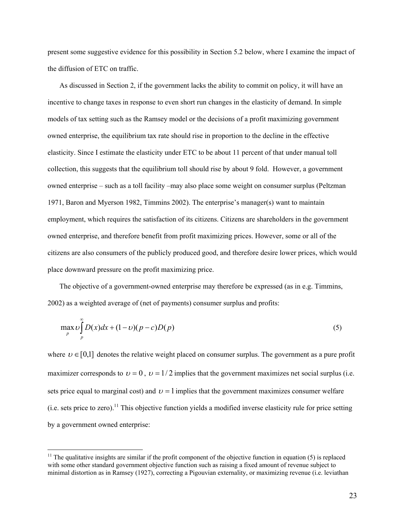present some suggestive evidence for this possibility in Section 5.2 below, where I examine the impact of the diffusion of ETC on traffic.

As discussed in Section 2, if the government lacks the ability to commit on policy, it will have an incentive to change taxes in response to even short run changes in the elasticity of demand. In simple models of tax setting such as the Ramsey model or the decisions of a profit maximizing government owned enterprise, the equilibrium tax rate should rise in proportion to the decline in the effective elasticity. Since I estimate the elasticity under ETC to be about 11 percent of that under manual toll collection, this suggests that the equilibrium toll should rise by about 9 fold. However, a government owned enterprise – such as a toll facility –may also place some weight on consumer surplus (Peltzman 1971, Baron and Myerson 1982, Timmins 2002). The enterprise's manager(s) want to maintain employment, which requires the satisfaction of its citizens. Citizens are shareholders in the government owned enterprise, and therefore benefit from profit maximizing prices. However, some or all of the citizens are also consumers of the publicly produced good, and therefore desire lower prices, which would place downward pressure on the profit maximizing price.

The objective of a government-owned enterprise may therefore be expressed (as in e.g. Timmins, 2002) as a weighted average of (net of payments) consumer surplus and profits:

$$
\max_{p} \bigcup_{p}^{\infty} D(x)dx + (1-\nu)(p-c)D(p) \tag{5}
$$

where  $v \in [0,1]$  denotes the relative weight placed on consumer surplus. The government as a pure profit maximizer corresponds to  $v = 0$ ,  $v = 1/2$  implies that the government maximizes net social surplus (i.e. sets price equal to marginal cost) and  $\nu = 1$  implies that the government maximizes consumer welfare (i.e. sets price to zero).<sup>11</sup> This objective function yields a modified inverse elasticity rule for price setting by a government owned enterprise:

 $\overline{a}$ 

 $11$  The qualitative insights are similar if the profit component of the objective function in equation (5) is replaced with some other standard government objective function such as raising a fixed amount of revenue subject to minimal distortion as in Ramsey (1927), correcting a Pigouvian externality, or maximizing revenue (i.e. leviathan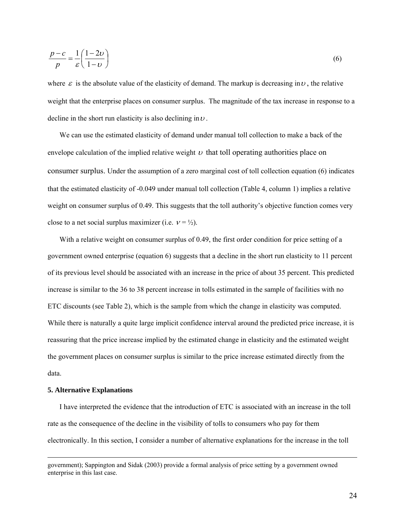$$
\frac{p-c}{p} = \frac{1}{\varepsilon} \left( \frac{1-2\nu}{1-\nu} \right) \tag{6}
$$

where  $\varepsilon$  is the absolute value of the elasticity of demand. The markup is decreasing in  $\nu$ , the relative weight that the enterprise places on consumer surplus. The magnitude of the tax increase in response to a decline in the short run elasticity is also declining in  $\nu$ .

We can use the estimated elasticity of demand under manual toll collection to make a back of the envelope calculation of the implied relative weight  $\nu$  that toll operating authorities place on consumer surplus. Under the assumption of a zero marginal cost of toll collection equation (6) indicates that the estimated elasticity of -0.049 under manual toll collection (Table 4, column 1) implies a relative weight on consumer surplus of 0.49. This suggests that the toll authority's objective function comes very close to a net social surplus maximizer (i.e.  $v = \frac{1}{2}$ ).

With a relative weight on consumer surplus of 0.49, the first order condition for price setting of a government owned enterprise (equation 6) suggests that a decline in the short run elasticity to 11 percent of its previous level should be associated with an increase in the price of about 35 percent. This predicted increase is similar to the 36 to 38 percent increase in tolls estimated in the sample of facilities with no ETC discounts (see Table 2), which is the sample from which the change in elasticity was computed. While there is naturally a quite large implicit confidence interval around the predicted price increase, it is reassuring that the price increase implied by the estimated change in elasticity and the estimated weight the government places on consumer surplus is similar to the price increase estimated directly from the data.

#### **5. Alternative Explanations**

I have interpreted the evidence that the introduction of ETC is associated with an increase in the toll rate as the consequence of the decline in the visibility of tolls to consumers who pay for them electronically. In this section, I consider a number of alternative explanations for the increase in the toll

government); Sappington and Sidak (2003) provide a formal analysis of price setting by a government owned enterprise in this last case.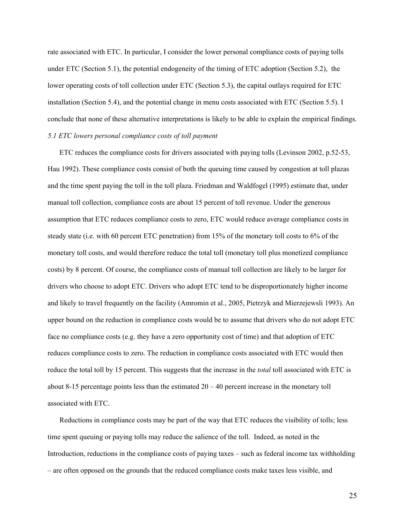rate associated with ETC. In particular, I consider the lower personal compliance costs of paying tolls under ETC (Section 5.1), the potential endogeneity of the timing of ETC adoption (Section 5.2), the lower operating costs of toll collection under ETC (Section 5.3), the capital outlays required for ETC installation (Section 5.4), and the potential change in menu costs associated with ETC (Section 5.5). I conclude that none of these alternative interpretations is likely to be able to explain the empirical findings. *5.1 ETC lowers personal compliance costs of toll payment* 

ETC reduces the compliance costs for drivers associated with paying tolls (Levinson 2002, p.52-53, Hau 1992). These compliance costs consist of both the queuing time caused by congestion at toll plazas and the time spent paying the toll in the toll plaza. Friedman and Waldfogel (1995) estimate that, under manual toll collection, compliance costs are about 15 percent of toll revenue. Under the generous assumption that ETC reduces compliance costs to zero, ETC would reduce average compliance costs in steady state (i.e. with 60 percent ETC penetration) from 15% of the monetary toll costs to 6% of the monetary toll costs, and would therefore reduce the total toll (monetary toll plus monetized compliance costs) by 8 percent. Of course, the compliance costs of manual toll collection are likely to be larger for drivers who choose to adopt ETC. Drivers who adopt ETC tend to be disproportionately higher income and likely to travel frequently on the facility (Amromin et al., 2005, Pietrzyk and Mierzejewsli 1993). An upper bound on the reduction in compliance costs would be to assume that drivers who do not adopt ETC face no compliance costs (e.g. they have a zero opportunity cost of time) and that adoption of ETC reduces compliance costs to zero. The reduction in compliance costs associated with ETC would then reduce the total toll by 15 percent. This suggests that the increase in the *total* toll associated with ETC is about 8-15 percentage points less than the estimated  $20 - 40$  percent increase in the monetary toll associated with ETC.

Reductions in compliance costs may be part of the way that ETC reduces the visibility of tolls; less time spent queuing or paying tolls may reduce the salience of the toll. Indeed, as noted in the Introduction, reductions in the compliance costs of paying taxes – such as federal income tax withholding – are often opposed on the grounds that the reduced compliance costs make taxes less visible, and

25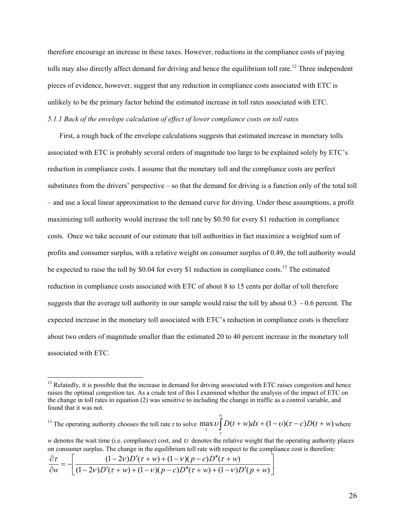therefore encourage an increase in these taxes. However, reductions in the compliance costs of paying tolls may also directly affect demand for driving and hence the equilibrium toll rate.<sup>12</sup> Three independent pieces of evidence, however, suggest that any reduction in compliance costs associated with ETC is unlikely to be the primary factor behind the estimated increase in toll rates associated with ETC. *5.1.1 Back of the envelope calculation of effect of lower compliance costs on toll rates* 

First, a rough back of the envelope calculations suggests that estimated increase in monetary tolls associated with ETC is probably several orders of magnitude too large to be explained solely by ETC's reduction in compliance costs. I assume that the monetary toll and the compliance costs are perfect substitutes from the drivers' perspective – so that the demand for driving is a function only of the total toll – and use a local linear approximation to the demand curve for driving. Under these assumptions, a profit maximizing toll authority would increase the toll rate by \$0.50 for every \$1 reduction in compliance costs. Once we take account of our estimate that toll authorities in fact maximize a weighted sum of profits and consumer surplus, with a relative weight on consumer surplus of 0.49, the toll authority would be expected to raise the toll by \$0.04 for every \$1 reduction in compliance costs.<sup>13</sup> The estimated reduction in compliance costs associated with ETC of about 8 to 15 cents per dollar of toll therefore suggests that the average toll authority in our sample would raise the toll by about 0.3 - 0.6 percent. The expected increase in the monetary toll associated with ETC's reduction in compliance costs is therefore about two orders of magnitude smaller than the estimated 20 to 40 percent increase in the monetary toll associated with ETC.

<sup>13</sup> The operating authority chooses the toll rate  $\tau$  to solve  $\max_{\tau} \nu$ ∞  $+ w)dx + (1-v)(\tau - c)D(t +$ <sup>τ</sup> <sup>τ</sup>  $\max U \left[ D(t+w)dx + (1-v)(\tau-c)D(t+w)$  where

*w* denotes the wait time (i.e. compliance) cost, and  $U$  denotes the relative weight that the operating authority places on consumer surplus. The change in the equilibrium toll rate with respect to the compliance cost is therefore*:* 

 $\overline{\phantom{a}}$ ⎦  $\frac{(1-2v)D'(\tau+w)+(1-v)(p-c)D''(\tau+w)}{(1-2v)D'(\tau+w)+(1-v)(p-c)D''(\tau+w)+(1-v)D'(\tau+w)}$ ⎣  $\frac{\partial \tau}{\partial w} = -\frac{(1-2\nu)D'(\tau+w) + (1-\nu)(p-c)D''(\tau+w)}{(1-2\nu)D'(\tau+w) + (1-\nu)(p-c)D''(\tau+w) + (1-\nu)D'(p+c)}$  $(1 - 2v)D'(\tau + w) + (1 - v)(p - c)D''(\tau + w) + (1 - v)D'(p + w)$  $(1 - 2v)D'(\tau + w) + (1 - v)(p - c)D''(\tau + w)$  $D'(\tau + w) + (1 - \nu)(p - c)D''(\tau + w) + (1 - \nu)D'(p + w)$  $D'(\tau + w) + (1 - v)(p - c)D''(\tau + w)$ *w*  $\left(1-2v\right)D'(\tau+w)+(1-v)(p-c)D''(\tau+w)+(1-v)$  $\frac{\tau}{\tau} = -\left[ \frac{(1-2v)D'(\tau+w) + (1-v)(p-c)D''(\tau+w)}{(1-2v)D'(\tau+w)(p-c)D''(\tau+w)} \right]$ 

 $\overline{a}$ 

 $12$  Relatedly, it is possible that the increase in demand for driving associated with ETC raises congestion and hence raises the optimal congestion tax. As a crude test of this I examined whether the analysis of the impact of ETC on the change in toll rates in equation (2) was sensitive to including the change in traffic as a control variable, and found that it was not.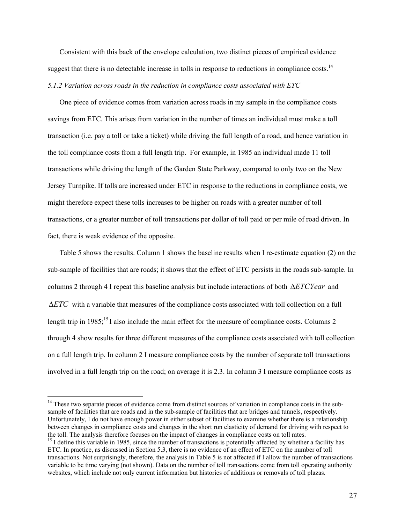Consistent with this back of the envelope calculation, two distinct pieces of empirical evidence suggest that there is no detectable increase in tolls in response to reductions in compliance costs.<sup>14</sup> *5.1.2 Variation across roads in the reduction in compliance costs associated with ETC* 

One piece of evidence comes from variation across roads in my sample in the compliance costs savings from ETC. This arises from variation in the number of times an individual must make a toll transaction (i.e. pay a toll or take a ticket) while driving the full length of a road, and hence variation in the toll compliance costs from a full length trip. For example, in 1985 an individual made 11 toll transactions while driving the length of the Garden State Parkway, compared to only two on the New Jersey Turnpike. If tolls are increased under ETC in response to the reductions in compliance costs, we might therefore expect these tolls increases to be higher on roads with a greater number of toll transactions, or a greater number of toll transactions per dollar of toll paid or per mile of road driven. In fact, there is weak evidence of the opposite.

Table 5 shows the results. Column 1 shows the baseline results when I re-estimate equation (2) on the sub-sample of facilities that are roads; it shows that the effect of ETC persists in the roads sub-sample. In columns 2 through 4 I repeat this baseline analysis but include interactions of both Δ*ETCYear* and Δ*ETC* with a variable that measures of the compliance costs associated with toll collection on a full length trip in  $1985$ ;<sup>15</sup> I also include the main effect for the measure of compliance costs. Columns 2 through 4 show results for three different measures of the compliance costs associated with toll collection on a full length trip. In column 2 I measure compliance costs by the number of separate toll transactions involved in a full length trip on the road; on average it is 2.3. In column 3 I measure compliance costs as

 $\overline{a}$ 

<sup>&</sup>lt;sup>14</sup> These two separate pieces of evidence come from distinct sources of variation in compliance costs in the subsample of facilities that are roads and in the sub-sample of facilities that are bridges and tunnels, respectively. Unfortunately, I do not have enough power in either subset of facilities to examine whether there is a relationship between changes in compliance costs and changes in the short run elasticity of demand for driving with respect to the toll. The analysis therefore focuses on the impact of changes in compliance costs on toll rates.

<sup>&</sup>lt;sup>15</sup> I define this variable in 1985, since the number of transactions is potentially affected by whether a facility has ETC. In practice, as discussed in Section 5.3, there is no evidence of an effect of ETC on the number of toll transactions. Not surprisingly, therefore, the analysis in Table 5 is not affected if I allow the number of transactions variable to be time varying (not shown). Data on the number of toll transactions come from toll operating authority websites, which include not only current information but histories of additions or removals of toll plazas.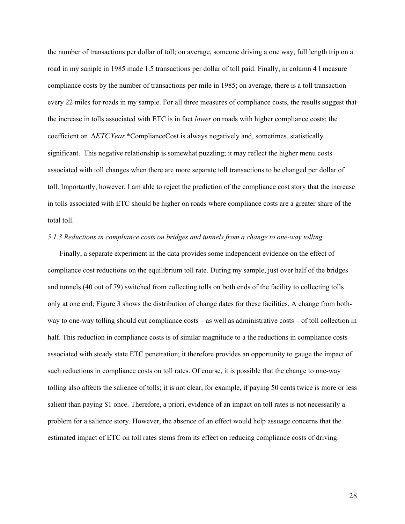the number of transactions per dollar of toll; on average, someone driving a one way, full length trip on a road in my sample in 1985 made 1.5 transactions per dollar of toll paid. Finally, in column 4 I measure compliance costs by the number of transactions per mile in 1985; on average, there is a toll transaction every 22 miles for roads in my sample. For all three measures of compliance costs, the results suggest that the increase in tolls associated with ETC is in fact *lower* on roads with higher compliance costs; the coefficient on Δ*ETCYear* \*ComplianceCost is always negatively and, sometimes, statistically significant. This negative relationship is somewhat puzzling; it may reflect the higher menu costs associated with toll changes when there are more separate toll transactions to be changed per dollar of toll. Importantly, however, I am able to reject the prediction of the compliance cost story that the increase in tolls associated with ETC should be higher on roads where compliance costs are a greater share of the total toll.

#### *5.1.3 Reductions in compliance costs on bridges and tunnels from a change to one-way tolling*

Finally, a separate experiment in the data provides some independent evidence on the effect of compliance cost reductions on the equilibrium toll rate. During my sample, just over half of the bridges and tunnels (40 out of 79) switched from collecting tolls on both ends of the facility to collecting tolls only at one end; Figure 3 shows the distribution of change dates for these facilities. A change from bothway to one-way tolling should cut compliance costs – as well as administrative costs – of toll collection in half. This reduction in compliance costs is of similar magnitude to a the reductions in compliance costs associated with steady state ETC penetration; it therefore provides an opportunity to gauge the impact of such reductions in compliance costs on toll rates. Of course, it is possible that the change to one-way tolling also affects the salience of tolls; it is not clear, for example, if paying 50 cents twice is more or less salient than paying \$1 once. Therefore, a priori, evidence of an impact on toll rates is not necessarily a problem for a salience story. However, the absence of an effect would help assuage concerns that the estimated impact of ETC on toll rates stems from its effect on reducing compliance costs of driving.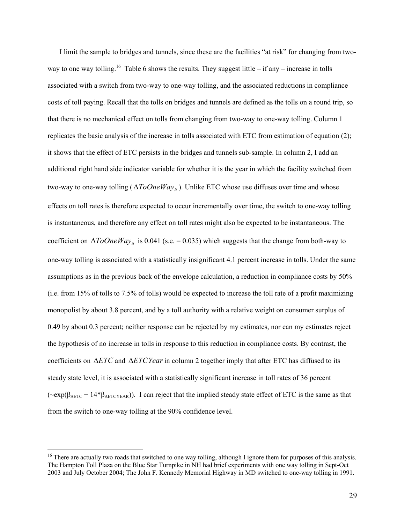I limit the sample to bridges and tunnels, since these are the facilities "at risk" for changing from twoway to one way tolling.<sup>16</sup> Table 6 shows the results. They suggest little – if any – increase in tolls associated with a switch from two-way to one-way tolling, and the associated reductions in compliance costs of toll paying. Recall that the tolls on bridges and tunnels are defined as the tolls on a round trip, so that there is no mechanical effect on tolls from changing from two-way to one-way tolling. Column 1 replicates the basic analysis of the increase in tolls associated with ETC from estimation of equation (2); it shows that the effect of ETC persists in the bridges and tunnels sub-sample. In column 2, I add an additional right hand side indicator variable for whether it is the year in which the facility switched from two-way to one-way tolling ( $\Delta ToOneWay_{it}$ ). Unlike ETC whose use diffuses over time and whose effects on toll rates is therefore expected to occur incrementally over time, the switch to one-way tolling is instantaneous, and therefore any effect on toll rates might also be expected to be instantaneous. The coefficient on  $\Delta ToOneWay_{it}$  is 0.041 (s.e. = 0.035) which suggests that the change from both-way to one-way tolling is associated with a statistically insignificant 4.1 percent increase in tolls. Under the same assumptions as in the previous back of the envelope calculation, a reduction in compliance costs by 50% (i.e. from 15% of tolls to 7.5% of tolls) would be expected to increase the toll rate of a profit maximizing monopolist by about 3.8 percent, and by a toll authority with a relative weight on consumer surplus of 0.49 by about 0.3 percent; neither response can be rejected by my estimates, nor can my estimates reject the hypothesis of no increase in tolls in response to this reduction in compliance costs. By contrast, the coefficients on Δ*ETC* and Δ*ETCYear*in column 2 together imply that after ETC has diffused to its steady state level, it is associated with a statistically significant increase in toll rates of 36 percent  $(\sim exp(\beta_{\text{AETC}} + 14*\beta_{\text{AETCYEAR}}))$ . I can reject that the implied steady state effect of ETC is the same as that from the switch to one-way tolling at the 90% confidence level.

 $\overline{a}$ 

 $16$  There are actually two roads that switched to one way tolling, although I ignore them for purposes of this analysis. The Hampton Toll Plaza on the Blue Star Turnpike in NH had brief experiments with one way tolling in Sept-Oct 2003 and July October 2004; The John F. Kennedy Memorial Highway in MD switched to one-way tolling in 1991.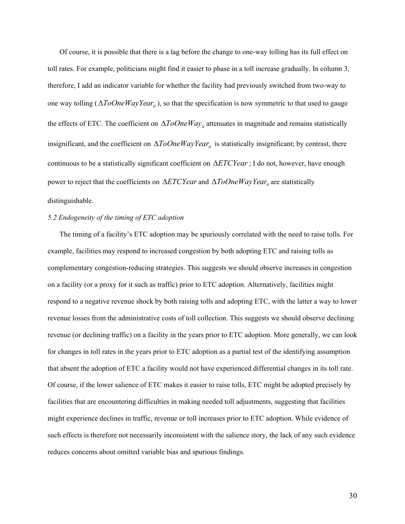Of course, it is possible that there is a lag before the change to one-way tolling has its full effect on toll rates. For example, politicians might find it easier to phase in a toll increase gradually. In column 3, therefore, I add an indicator variable for whether the facility had previously switched from two-way to one way tolling ( $\Delta ToOneWayYear_{it}$ ), so that the specification is now symmetric to that used to gauge the effects of ETC. The coefficient on  $\Delta ToOne Way_{ii}$  attenuates in magnitude and remains statistically insignificant, and the coefficient on  $\Delta ToOneWayYear_{it}$  is statistically insignificant; by contrast, there continuous to be a statistically significant coefficient on Δ*ETCYear*; I do not, however, have enough power to reject that the coefficients on Δ*ETCYear* and Δ*ToOneWayYear<sub>it</sub>* are statistically distinguishable.

#### *5.2 Endogeneity of the timing of ETC adoption*

The timing of a facility's ETC adoption may be spuriously correlated with the need to raise tolls. For example, facilities may respond to increased congestion by both adopting ETC and raising tolls as complementary congestion-reducing strategies. This suggests we should observe increases in congestion on a facility (or a proxy for it such as traffic) prior to ETC adoption. Alternatively, facilities might respond to a negative revenue shock by both raising tolls and adopting ETC, with the latter a way to lower revenue losses from the administrative costs of toll collection. This suggests we should observe declining revenue (or declining traffic) on a facility in the years prior to ETC adoption. More generally, we can look for changes in toll rates in the years prior to ETC adoption as a partial test of the identifying assumption that absent the adoption of ETC a facility would not have experienced differential changes in its toll rate. Of course, if the lower salience of ETC makes it easier to raise tolls, ETC might be adopted precisely by facilities that are encountering difficulties in making needed toll adjustments, suggesting that facilities might experience declines in traffic, revenue or toll increases prior to ETC adoption. While evidence of such effects is therefore not necessarily inconsistent with the salience story, the lack of any such evidence reduces concerns about omitted variable bias and spurious findings.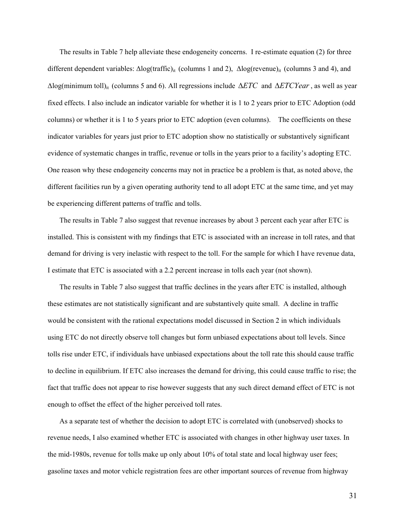The results in Table 7 help alleviate these endogeneity concerns. I re-estimate equation (2) for three different dependent variables: Δlog(traffic)<sub>it</sub> (columns 1 and 2), Δlog(revenue)<sub>it</sub> (columns 3 and 4), and Δlog(minimum toll)it (columns 5 and 6). All regressions include Δ*ETC* and Δ*ETCYear*, as well as year fixed effects. I also include an indicator variable for whether it is 1 to 2 years prior to ETC Adoption (odd columns) or whether it is 1 to 5 years prior to ETC adoption (even columns). The coefficients on these indicator variables for years just prior to ETC adoption show no statistically or substantively significant evidence of systematic changes in traffic, revenue or tolls in the years prior to a facility's adopting ETC. One reason why these endogeneity concerns may not in practice be a problem is that, as noted above, the different facilities run by a given operating authority tend to all adopt ETC at the same time, and yet may be experiencing different patterns of traffic and tolls.

The results in Table 7 also suggest that revenue increases by about 3 percent each year after ETC is installed. This is consistent with my findings that ETC is associated with an increase in toll rates, and that demand for driving is very inelastic with respect to the toll. For the sample for which I have revenue data, I estimate that ETC is associated with a 2.2 percent increase in tolls each year (not shown).

The results in Table 7 also suggest that traffic declines in the years after ETC is installed, although these estimates are not statistically significant and are substantively quite small. A decline in traffic would be consistent with the rational expectations model discussed in Section 2 in which individuals using ETC do not directly observe toll changes but form unbiased expectations about toll levels. Since tolls rise under ETC, if individuals have unbiased expectations about the toll rate this should cause traffic to decline in equilibrium. If ETC also increases the demand for driving, this could cause traffic to rise; the fact that traffic does not appear to rise however suggests that any such direct demand effect of ETC is not enough to offset the effect of the higher perceived toll rates.

As a separate test of whether the decision to adopt ETC is correlated with (unobserved) shocks to revenue needs, I also examined whether ETC is associated with changes in other highway user taxes. In the mid-1980s, revenue for tolls make up only about 10% of total state and local highway user fees; gasoline taxes and motor vehicle registration fees are other important sources of revenue from highway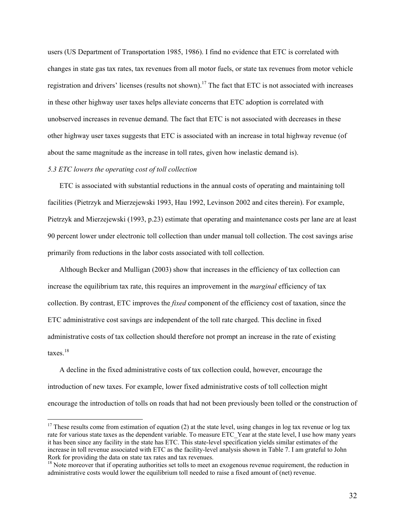users (US Department of Transportation 1985, 1986). I find no evidence that ETC is correlated with changes in state gas tax rates, tax revenues from all motor fuels, or state tax revenues from motor vehicle registration and drivers' licenses (results not shown).<sup>17</sup> The fact that ETC is not associated with increases in these other highway user taxes helps alleviate concerns that ETC adoption is correlated with unobserved increases in revenue demand. The fact that ETC is not associated with decreases in these other highway user taxes suggests that ETC is associated with an increase in total highway revenue (of about the same magnitude as the increase in toll rates, given how inelastic demand is).

#### *5.3 ETC lowers the operating cost of toll collection*

 $\overline{a}$ 

ETC is associated with substantial reductions in the annual costs of operating and maintaining toll facilities (Pietrzyk and Mierzejewski 1993, Hau 1992, Levinson 2002 and cites therein). For example, Pietrzyk and Mierzejewski (1993, p.23) estimate that operating and maintenance costs per lane are at least 90 percent lower under electronic toll collection than under manual toll collection. The cost savings arise primarily from reductions in the labor costs associated with toll collection.

Although Becker and Mulligan (2003) show that increases in the efficiency of tax collection can increase the equilibrium tax rate, this requires an improvement in the *marginal* efficiency of tax collection. By contrast, ETC improves the *fixed* component of the efficiency cost of taxation, since the ETC administrative cost savings are independent of the toll rate charged. This decline in fixed administrative costs of tax collection should therefore not prompt an increase in the rate of existing taxes.18

A decline in the fixed administrative costs of tax collection could, however, encourage the introduction of new taxes. For example, lower fixed administrative costs of toll collection might encourage the introduction of tolls on roads that had not been previously been tolled or the construction of

 $17$  These results come from estimation of equation (2) at the state level, using changes in log tax revenue or log tax rate for various state taxes as the dependent variable. To measure ETC\_Year at the state level, I use how many years it has been since any facility in the state has ETC. This state-level specification yields similar estimates of the increase in toll revenue associated with ETC as the facility-level analysis shown in Table 7. I am grateful to John Rork for providing the data on state tax rates and tax revenues.<br><sup>18</sup> Note moreover that if operating authorities set tolls to meet an exogenous revenue requirement, the reduction in

administrative costs would lower the equilibrium toll needed to raise a fixed amount of (net) revenue.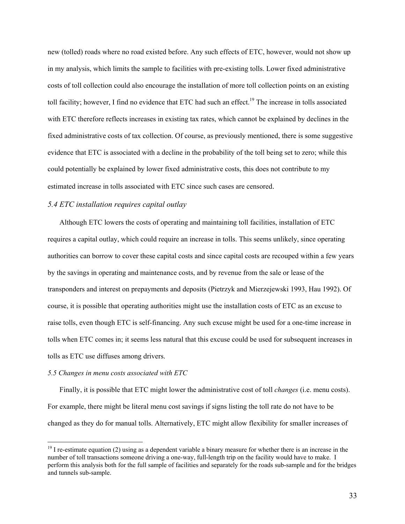new (tolled) roads where no road existed before. Any such effects of ETC, however, would not show up in my analysis, which limits the sample to facilities with pre-existing tolls. Lower fixed administrative costs of toll collection could also encourage the installation of more toll collection points on an existing toll facility; however, I find no evidence that ETC had such an effect.<sup>19</sup> The increase in tolls associated with ETC therefore reflects increases in existing tax rates, which cannot be explained by declines in the fixed administrative costs of tax collection. Of course, as previously mentioned, there is some suggestive evidence that ETC is associated with a decline in the probability of the toll being set to zero; while this could potentially be explained by lower fixed administrative costs, this does not contribute to my estimated increase in tolls associated with ETC since such cases are censored.

# *5.4 ETC installation requires capital outlay*

Although ETC lowers the costs of operating and maintaining toll facilities, installation of ETC requires a capital outlay, which could require an increase in tolls. This seems unlikely, since operating authorities can borrow to cover these capital costs and since capital costs are recouped within a few years by the savings in operating and maintenance costs, and by revenue from the sale or lease of the transponders and interest on prepayments and deposits (Pietrzyk and Mierzejewski 1993, Hau 1992). Of course, it is possible that operating authorities might use the installation costs of ETC as an excuse to raise tolls, even though ETC is self-financing. Any such excuse might be used for a one-time increase in tolls when ETC comes in; it seems less natural that this excuse could be used for subsequent increases in tolls as ETC use diffuses among drivers.

#### *5.5 Changes in menu costs associated with ETC*

 $\overline{a}$ 

Finally, it is possible that ETC might lower the administrative cost of toll *changes* (i.e. menu costs). For example, there might be literal menu cost savings if signs listing the toll rate do not have to be changed as they do for manual tolls. Alternatively, ETC might allow flexibility for smaller increases of

 $19$  I re-estimate equation (2) using as a dependent variable a binary measure for whether there is an increase in the number of toll transactions someone driving a one-way, full-length trip on the facility would have to make. I perform this analysis both for the full sample of facilities and separately for the roads sub-sample and for the bridges and tunnels sub-sample.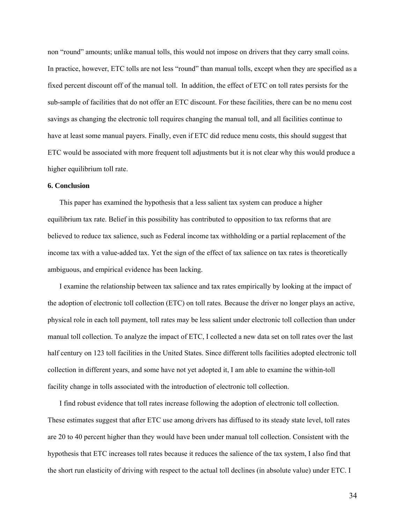non "round" amounts; unlike manual tolls, this would not impose on drivers that they carry small coins. In practice, however, ETC tolls are not less "round" than manual tolls, except when they are specified as a fixed percent discount off of the manual toll. In addition, the effect of ETC on toll rates persists for the sub-sample of facilities that do not offer an ETC discount. For these facilities, there can be no menu cost savings as changing the electronic toll requires changing the manual toll, and all facilities continue to have at least some manual payers. Finally, even if ETC did reduce menu costs, this should suggest that ETC would be associated with more frequent toll adjustments but it is not clear why this would produce a higher equilibrium toll rate.

# **6. Conclusion**

This paper has examined the hypothesis that a less salient tax system can produce a higher equilibrium tax rate. Belief in this possibility has contributed to opposition to tax reforms that are believed to reduce tax salience, such as Federal income tax withholding or a partial replacement of the income tax with a value-added tax. Yet the sign of the effect of tax salience on tax rates is theoretically ambiguous, and empirical evidence has been lacking.

I examine the relationship between tax salience and tax rates empirically by looking at the impact of the adoption of electronic toll collection (ETC) on toll rates. Because the driver no longer plays an active, physical role in each toll payment, toll rates may be less salient under electronic toll collection than under manual toll collection. To analyze the impact of ETC, I collected a new data set on toll rates over the last half century on 123 toll facilities in the United States. Since different tolls facilities adopted electronic toll collection in different years, and some have not yet adopted it, I am able to examine the within-toll facility change in tolls associated with the introduction of electronic toll collection.

I find robust evidence that toll rates increase following the adoption of electronic toll collection. These estimates suggest that after ETC use among drivers has diffused to its steady state level, toll rates are 20 to 40 percent higher than they would have been under manual toll collection. Consistent with the hypothesis that ETC increases toll rates because it reduces the salience of the tax system, I also find that the short run elasticity of driving with respect to the actual toll declines (in absolute value) under ETC. I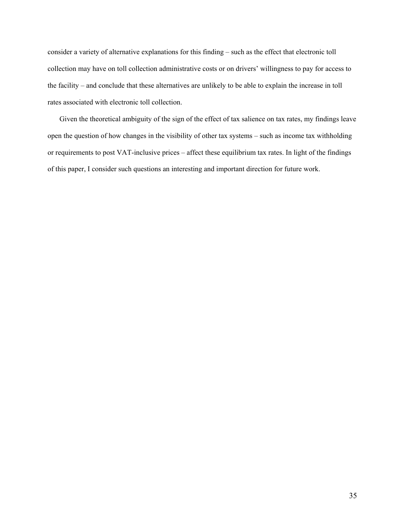consider a variety of alternative explanations for this finding – such as the effect that electronic toll collection may have on toll collection administrative costs or on drivers' willingness to pay for access to the facility – and conclude that these alternatives are unlikely to be able to explain the increase in toll rates associated with electronic toll collection.

Given the theoretical ambiguity of the sign of the effect of tax salience on tax rates, my findings leave open the question of how changes in the visibility of other tax systems – such as income tax withholding or requirements to post VAT-inclusive prices – affect these equilibrium tax rates. In light of the findings of this paper, I consider such questions an interesting and important direction for future work.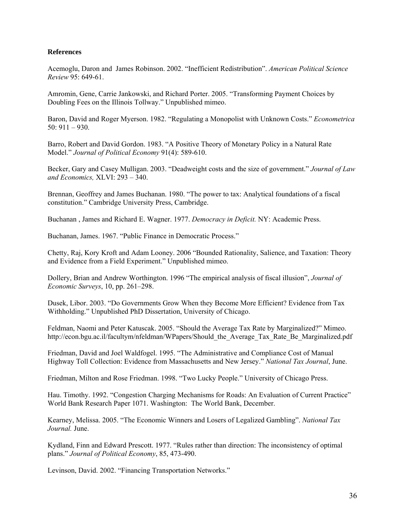# **References**

Acemoglu, Daron and James Robinson. 2002. "Inefficient Redistribution". *American Political Science Review* 95: 649-61.

Amromin, Gene, Carrie Jankowski, and Richard Porter. 2005. "Transforming Payment Choices by Doubling Fees on the Illinois Tollway." Unpublished mimeo.

Baron, David and Roger Myerson. 1982. "Regulating a Monopolist with Unknown Costs." *Econometrica*  50: 911 – 930.

Barro, Robert and David Gordon. 1983. "A Positive Theory of Monetary Policy in a Natural Rate Model." *Journal of Political Economy* 91(4): 589-610.

Becker, Gary and Casey Mulligan. 2003. "Deadweight costs and the size of government." *Journal of Law and Economics,* XLVI: 293 – 340.

Brennan, Geoffrey and James Buchanan. 1980. "The power to tax: Analytical foundations of a fiscal constitution." Cambridge University Press, Cambridge.

Buchanan , James and Richard E. Wagner. 1977. *Democracy in Deficit.* NY: Academic Press.

Buchanan, James. 1967. "Public Finance in Democratic Process."

Chetty, Raj, Kory Kroft and Adam Looney. 2006 "Bounded Rationality, Salience, and Taxation: Theory and Evidence from a Field Experiment." Unpublished mimeo.

Dollery, Brian and Andrew Worthington. 1996 "The empirical analysis of fiscal illusion", *Journal of Economic Surveys*, 10, pp. 261–298.

Dusek, Libor. 2003. "Do Governments Grow When they Become More Efficient? Evidence from Tax Withholding." Unpublished PhD Dissertation, University of Chicago.

Feldman, Naomi and Peter Katuscak. 2005. "Should the Average Tax Rate by Marginalized?" Mimeo. http://econ.bgu.ac.il/facultym/nfeldman/WPapers/Should\_the\_Average\_Tax\_Rate\_Be\_Marginalized.pdf

Friedman, David and Joel Waldfogel. 1995. "The Administrative and Compliance Cost of Manual Highway Toll Collection: Evidence from Massachusetts and New Jersey." *National Tax Journal*, June.

Friedman, Milton and Rose Friedman. 1998. "Two Lucky People." University of Chicago Press.

Hau. Timothy. 1992. "Congestion Charging Mechanisms for Roads: An Evaluation of Current Practice" World Bank Research Paper 1071. Washington: The World Bank, December.

Kearney, Melissa. 2005. "The Economic Winners and Losers of Legalized Gambling". *National Tax Journal.* June.

Kydland, Finn and Edward Prescott. 1977. "Rules rather than direction: The inconsistency of optimal plans." *Journal of Political Economy*, 85, 473-490.

Levinson, David. 2002. "Financing Transportation Networks."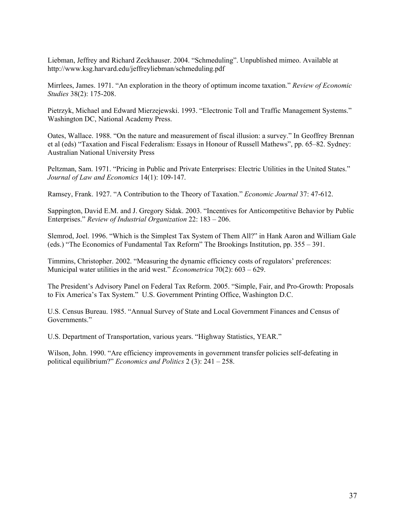Liebman, Jeffrey and Richard Zeckhauser. 2004. "Schmeduling". Unpublished mimeo. Available at http://www.ksg.harvard.edu/jeffreyliebman/schmeduling.pdf

Mirrlees, James. 1971. "An exploration in the theory of optimum income taxation." *Review of Economic Studies* 38(2): 175-208.

Pietrzyk, Michael and Edward Mierzejewski. 1993. "Electronic Toll and Traffic Management Systems." Washington DC, National Academy Press.

Oates, Wallace. 1988. "On the nature and measurement of fiscal illusion: a survey." In Geoffrey Brennan et al (eds) "Taxation and Fiscal Federalism: Essays in Honour of Russell Mathews", pp. 65–82. Sydney: Australian National University Press

Peltzman, Sam. 1971. "Pricing in Public and Private Enterprises: Electric Utilities in the United States." *Journal of Law and Economics* 14(1): 109-147.

Ramsey, Frank. 1927. "A Contribution to the Theory of Taxation." *Economic Journal* 37: 47-612.

Sappington, David E.M. and J. Gregory Sidak. 2003. "Incentives for Anticompetitive Behavior by Public Enterprises." *Review of Industrial Organization* 22: 183 – 206.

Slemrod, Joel. 1996. "Which is the Simplest Tax System of Them All?" in Hank Aaron and William Gale (eds.) "The Economics of Fundamental Tax Reform" The Brookings Institution, pp. 355 – 391.

Timmins, Christopher. 2002. "Measuring the dynamic efficiency costs of regulators' preferences: Municipal water utilities in the arid west." *Econometrica* 70(2): 603 – 629.

The President's Advisory Panel on Federal Tax Reform. 2005. "Simple, Fair, and Pro-Growth: Proposals to Fix America's Tax System." U.S. Government Printing Office, Washington D.C.

U.S. Census Bureau. 1985. "Annual Survey of State and Local Government Finances and Census of Governments."

U.S. Department of Transportation, various years. "Highway Statistics, YEAR."

Wilson, John. 1990. "Are efficiency improvements in government transfer policies self-defeating in political equilibrium?" *Economics and Politics* 2 (3): 241 – 258.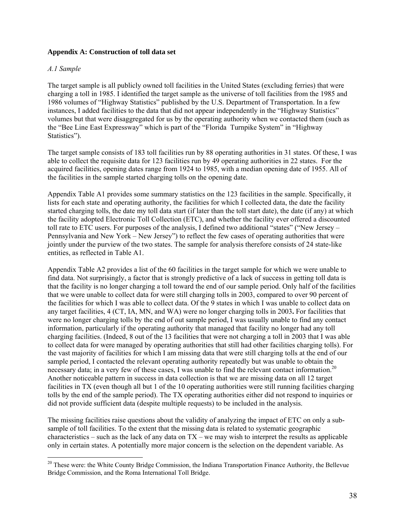# **Appendix A: Construction of toll data set**

# *A.1 Sample*

 $\overline{a}$ 

The target sample is all publicly owned toll facilities in the United States (excluding ferries) that were charging a toll in 1985. I identified the target sample as the universe of toll facilities from the 1985 and 1986 volumes of "Highway Statistics" published by the U.S. Department of Transportation. In a few instances, I added facilities to the data that did not appear independently in the "Highway Statistics" volumes but that were disaggregated for us by the operating authority when we contacted them (such as the "Bee Line East Expressway" which is part of the "Florida Turnpike System" in "Highway Statistics").

The target sample consists of 183 toll facilities run by 88 operating authorities in 31 states. Of these, I was able to collect the requisite data for 123 facilities run by 49 operating authorities in 22 states. For the acquired facilities, opening dates range from 1924 to 1985, with a median opening date of 1955. All of the facilities in the sample started charging tolls on the opening date.

Appendix Table A1 provides some summary statistics on the 123 facilities in the sample. Specifically, it lists for each state and operating authority, the facilities for which I collected data, the date the facility started charging tolls, the date my toll data start (if later than the toll start date), the date (if any) at which the facility adopted Electronic Toll Collection (ETC), and whether the facility ever offered a discounted toll rate to ETC users. For purposes of the analysis, I defined two additional "states" ("New Jersey – Pennsylvania and New York – New Jersey") to reflect the few cases of operating authorities that were jointly under the purview of the two states. The sample for analysis therefore consists of 24 state-like entities, as reflected in Table A1.

Appendix Table A2 provides a list of the 60 facilities in the target sample for which we were unable to find data. Not surprisingly, a factor that is strongly predictive of a lack of success in getting toll data is that the facility is no longer charging a toll toward the end of our sample period. Only half of the facilities that we were unable to collect data for were still charging tolls in 2003, compared to over 90 percent of the facilities for which I was able to collect data. Of the 9 states in which I was unable to collect data on any target facilities, 4 (CT, IA, MN, and WA) were no longer charging tolls in 2003**.** For facilities that were no longer charging tolls by the end of out sample period, I was usually unable to find any contact information, particularly if the operating authority that managed that facility no longer had any toll charging facilities. (Indeed, 8 out of the 13 facilities that were not charging a toll in 2003 that I was able to collect data for were managed by operating authorities that still had other facilities charging tolls). For the vast majority of facilities for which I am missing data that were still charging tolls at the end of our sample period, I contacted the relevant operating authority repeatedly but was unable to obtain the necessary data; in a very few of these cases. I was unable to find the relevant contact information.<sup>20</sup> Another noticeable pattern in success in data collection is that we are missing data on all 12 target facilities in TX (even though all but 1 of the 10 operating authorities were still running facilities charging tolls by the end of the sample period). The TX operating authorities either did not respond to inquiries or did not provide sufficient data (despite multiple requests) to be included in the analysis.

The missing facilities raise questions about the validity of analyzing the impact of ETC on only a subsample of toll facilities. To the extent that the missing data is related to systematic geographic characteristics – such as the lack of any data on  $TX$  – we may wish to interpret the results as applicable only in certain states. A potentially more major concern is the selection on the dependent variable. As

<sup>&</sup>lt;sup>20</sup> These were: the White County Bridge Commission, the Indiana Transportation Finance Authority, the Bellevue Bridge Commission, and the Roma International Toll Bridge.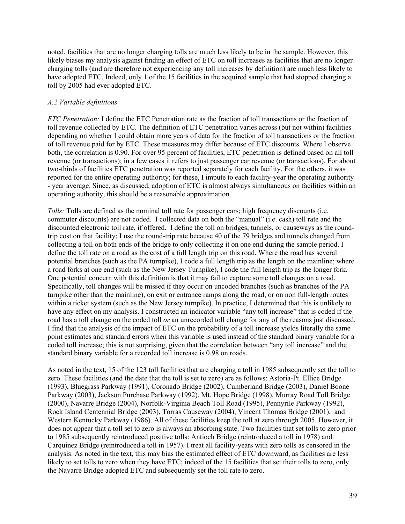noted, facilities that are no longer charging tolls are much less likely to be in the sample. However, this likely biases my analysis against finding an effect of ETC on toll increases as facilities that are no longer charging tolls (and are therefore not experiencing any toll increases by definition) are much less likely to have adopted ETC. Indeed, only 1 of the 15 facilities in the acquired sample that had stopped charging a toll by 2005 had ever adopted ETC.

# *A.2 Variable definitions*

*ETC Penetration:* I define the ETC Penetration rate as the fraction of toll transactions or the fraction of toll revenue collected by ETC. The definition of ETC penetration varies across (but not within) facilities depending on whether I could obtain more years of data for the fraction of toll transactions or the fraction of toll revenue paid for by ETC. These measures may differ because of ETC discounts. Where I observe both, the correlation is 0.90. For over 95 percent of facilities, ETC penetration is defined based on all toll revenue (or transactions); in a few cases it refers to just passenger car revenue (or transactions). For about two-thirds of facilities ETC penetration was reported separately for each facility. For the others, it was reported for the entire operating authority; for these, I impute to each facility-year the operating authority - year average. Since, as discussed, adoption of ETC is almost always simultaneous on facilities within an operating authority, this should be a reasonable approximation.

*Tolls:* Tolls are defined as the nominal toll rate for passenger cars; high frequency discounts (i.e. commuter discounts) are not coded. I collected data on both the "manual" (i.e. cash) toll rate and the discounted electronic toll rate, if offered. I define the toll on bridges, tunnels, or causeways as the roundtrip cost on that facility; I use the round-trip rate because 40 of the 79 bridges and tunnels changed from collecting a toll on both ends of the bridge to only collecting it on one end during the sample period. I define the toll rate on a road as the cost of a full length trip on this road. Where the road has several potential branches (such as the PA turnpike), I code a full length trip as the length on the mainline; where a road forks at one end (such as the New Jersey Turnpike), I code the full length trip as the longer fork. One potential concern with this definition is that it may fail to capture some toll changes on a road. Specifically, toll changes will be missed if they occur on uncoded branches (such as branches of the PA turnpike other than the mainline), on exit or entrance ramps along the road, or on non full-length routes within a ticket system (such as the New Jersey turnpike). In practice, I determined that this is unlikely to have any effect on my analysis. I constructed an indicator variable "any toll increase" that is coded if the road has a toll change on the coded toll *or* an unrecorded toll change for any of the reasons just discussed. I find that the analysis of the impact of ETC on the probability of a toll increase yields literally the same point estimates and standard errors when this variable is used instead of the standard binary variable for a coded toll increase; this is not surprising, given that the correlation between "any toll increase" and the standard binary variable for a recorded toll increase is 0.98 on roads.

As noted in the text, 15 of the 123 toll facilities that are charging a toll in 1985 subsequently set the toll to zero. These facilities (and the date that the toll is set to zero) are as follows: Astoria-Pt. Ellice Bridge (1993), Bluegrass Parkway (1991), Coronado Bridge (2002), Cumberland Bridge (2003), Daniel Boone Parkway (2003), Jackson Purchase Parkway (1992), Mt. Hope Bridge (1998), Murray Road Toll Bridge (2000), Navarre Bridge (2004), Norfolk-Virginia Beach Toll Road (1995), Pennyrile Parkway (1992), Rock Island Centennial Bridge (2003), Torras Causeway (2004), Vincent Thomas Bridge (2001), and Western Kentucky Parkway (1986). All of these facilities keep the toll at zero through 2005. However, it does not appear that a toll set to zero is always an absorbing state. Two facilities that set tolls to zero prior to 1985 subsequently reintroduced positive tolls: Antioch Bridge (reintroduced a toll in 1978) and Carquinez Bridge (reintroduced a toll in 1957). I treat all facility-years with zero tolls as censored in the analysis. As noted in the text, this may bias the estimated effect of ETC downward, as facilities are less likely to set tolls to zero when they have ETC; indeed of the 15 facilities that set their tolls to zero, only the Navarre Bridge adopted ETC and subsequently set the toll rate to zero.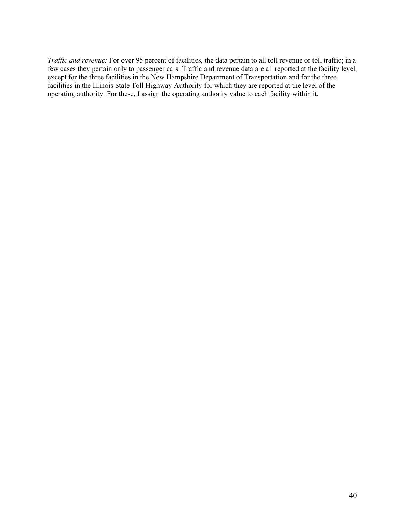*Traffic and revenue:* For over 95 percent of facilities, the data pertain to all toll revenue or toll traffic; in a few cases they pertain only to passenger cars. Traffic and revenue data are all reported at the facility level, except for the three facilities in the New Hampshire Department of Transportation and for the three facilities in the Illinois State Toll Highway Authority for which they are reported at the level of the operating authority. For these, I assign the operating authority value to each facility within it.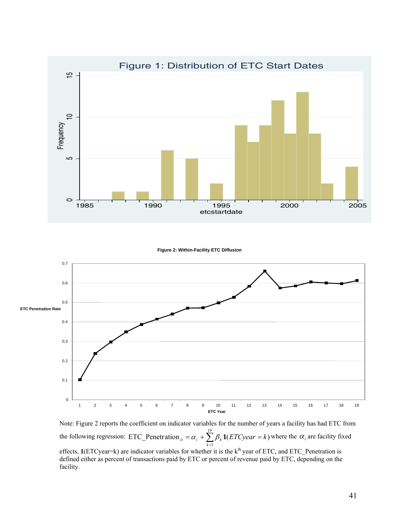

**Figure 2: Within-Facility ETC Diffusion**



Note: Figure 2 reports the coefficient on indicator variables for the number of years a facility has had ETC from the following regression: ETC\_Penetration  $_{ii} = \alpha_i + \sum_{k=1}^{19} \beta_k \mathbf{1}(ETCyear =$ 1 ETC\_Penetration  $_{ii} = \alpha_i + \sum \beta_k \mathbf{1}(ETCyear = k)$  $\alpha_i = \alpha_i + \sum_{k=1}^{n} \beta_k \mathbf{1}(ETCyear = k)$  where the  $\alpha_i$  are facility fixed effects, 1(ETCyear=k) are indicator variables for whether it is the k<sup>th</sup> year of ETC, and ETC\_Penetration is defined either as percent of transactions paid by ETC or percent of revenue paid by ETC, depending on the facility.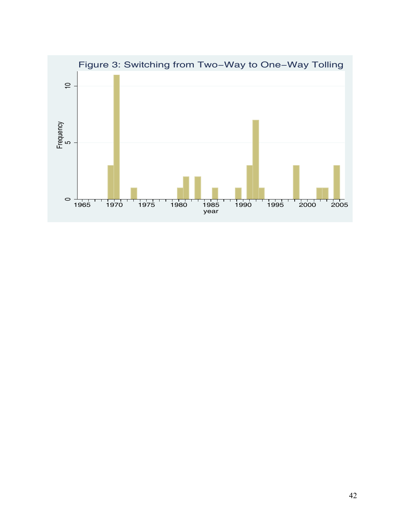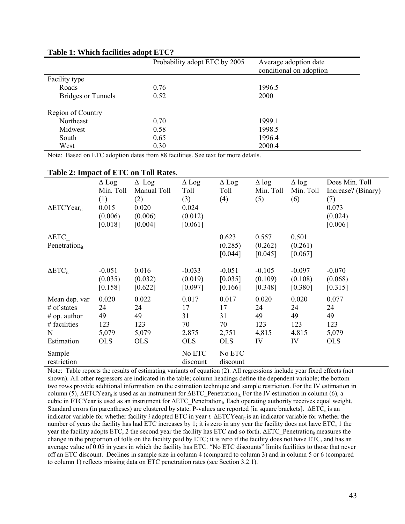|                           | Probability adopt ETC by 2005 | Average adoption date<br>conditional on adoption |
|---------------------------|-------------------------------|--------------------------------------------------|
| Facility type             |                               |                                                  |
| Roads                     | 0.76                          | 1996.5                                           |
| <b>Bridges or Tunnels</b> | 0.52                          | 2000                                             |
| Region of Country         |                               |                                                  |
| Northeast                 | 0.70                          | 1999.1                                           |
| Midwest                   | 0.58                          | 1998.5                                           |
| South                     | 0.65                          | 1996.4                                           |
| West                      | 0.30                          | 2000.4                                           |

# **Table 1: Which facilities adopt ETC?**

Note: Based on ETC adoption dates from 88 facilities. See text for more details.

# **Table 2: Impact of ETC on Toll Rates**.

|                                | $\Delta$ Log | $\Delta$ Log | $\Delta$ Log | $\Delta$ Log | $\Delta$ log | $\Delta$ log | Does Min. Toll     |
|--------------------------------|--------------|--------------|--------------|--------------|--------------|--------------|--------------------|
|                                | Min. Toll    | Manual Toll  | Toll         | Toll         | Min. Toll    | Min. Toll    | Increase? (Binary) |
|                                | (1)          | (2)          | (3)          | (4)          | (5)          | (6)          | (7)                |
| $\Delta$ ETCYear <sub>it</sub> | 0.015        | 0.020        | 0.024        |              |              |              | 0.073              |
|                                | (0.006)      | (0.006)      | (0.012)      |              |              |              | (0.024)            |
|                                | [0.018]      | [0.004]      | [0.061]      |              |              |              | [0.006]            |
| $\Delta \text{ETC}$            |              |              |              | 0.623        | 0.557        | 0.501        |                    |
| Penetration <sub>it</sub>      |              |              |              | (0.285)      | (0.262)      | (0.261)      |                    |
|                                |              |              |              | [0.044]      | [0.045]      | [0.067]      |                    |
|                                |              |              |              |              |              |              |                    |
| $\Delta ETC_{it}$              | $-0.051$     | 0.016        | $-0.033$     | $-0.051$     | $-0.105$     | $-0.097$     | $-0.070$           |
|                                | (0.035)      | (0.032)      | (0.019)      | [0.035]      | (0.109)      | (0.108)      | (0.068)            |
|                                | [0.158]      | [0.622]      | [0.097]      | [0.166]      | [0.348]      | [0.380]      | [0.315]            |
| Mean dep. var                  | 0.020        | 0.022        | 0.017        | 0.017        | 0.020        | 0.020        | 0.077              |
| $#$ of states                  | 24           | 24           | 17           | 17           | 24           | 24           | 24                 |
| $# op.$ author                 | 49           | 49           | 31           | 31           | 49           | 49           | 49                 |
| # facilities                   | 123          | 123          | 70           | 70           | 123          | 123          | 123                |
| N                              | 5,079        | 5,079        | 2,875        | 2,751        | 4,815        | 4,815        | 5,079              |
| Estimation                     | <b>OLS</b>   | <b>OLS</b>   | <b>OLS</b>   | <b>OLS</b>   | IV           | IV           | <b>OLS</b>         |
| Sample                         |              |              | No ETC       | No ETC       |              |              |                    |
| restriction                    |              |              | discount     | discount     |              |              |                    |

Note: Table reports the results of estimating variants of equation (2). All regressions include year fixed effects (not shown). All other regressors are indicated in the table; column headings define the dependent variable; the bottom two rows provide additional information on the estimation technique and sample restriction. For the IV estimation in column (5),  $\Delta ETCYear_{it}$  is used as an instrument for  $\Delta ETC$  Penetration<sub>it</sub>. For the IV estimation in column (6), a cubic in ETCYear is used as an instrument for ΔETC\_Penetration<sub>it.</sub>Each operating authority receives equal weight. Standard errors (in parentheses) are clustered by state. P-values are reported [in square brackets].  $\Delta ETC_{it}$  is an indicator variable for whether facility *i* adopted ETC in year *t*. ΔETCYear<sub>it</sub> is an indicator variable for whether the number of years the facility has had ETC increases by 1; it is zero in any year the facility does not have ETC, 1 the year the facility adopts ETC, 2 the second year the facility has ETC and so forth.  $\Delta ETC$  Penetration<sub>it</sub> measures the change in the proportion of tolls on the facility paid by ETC; it is zero if the facility does not have ETC, and has an average value of 0.05 in years in which the facility has ETC. "No ETC discounts" limits facilities to those that never off an ETC discount. Declines in sample size in column 4 (compared to column 3) and in column 5 or 6 (compared to column 1) reflects missing data on ETC penetration rates (see Section 3.2.1).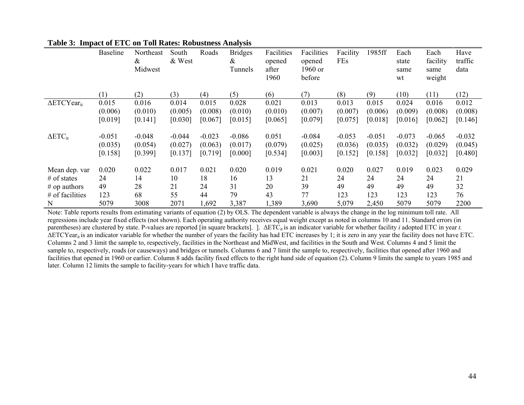|                                | <b>Baseline</b>                | Northeast<br>$\&$<br>Midwest   | South<br>& West                | Roads                          | <b>Bridges</b><br>$\&$<br>Tunnels | Facilities<br>opened<br>after<br>1960 | Facilities<br>opened<br>1960 or<br>before | Facility<br>FEs                | 1985ff                         | Each<br>state<br>same<br>wt    | Each<br>facility<br>same<br>weight | Have<br>traffic<br>data        |
|--------------------------------|--------------------------------|--------------------------------|--------------------------------|--------------------------------|-----------------------------------|---------------------------------------|-------------------------------------------|--------------------------------|--------------------------------|--------------------------------|------------------------------------|--------------------------------|
|                                | (1)                            | (2)                            | (3)                            | (4)                            | (5)                               | (6)                                   | (7)                                       | (8)                            | (9)                            | (10)                           | (11)                               | (12)                           |
| $\Delta$ ETCYear <sub>it</sub> | 0.015<br>(0.006)<br>[0.019]    | 0.016<br>(0.010)<br>[0.141]    | 0.014<br>(0.005)<br>[0.030]    | 0.015<br>(0.008)<br>[0.067]    | 0.028<br>(0.010)<br>[0.015]       | 0.021<br>(0.010)<br>[0.065]           | 0.013<br>(0.007)<br>[0.079]               | 0.013<br>(0.007)<br>[0.075]    | 0.015<br>(0.006)<br>[0.018]    | 0.024<br>(0.009)<br>[0.016]    | 0.016<br>(0.008)<br>[0.062]        | 0.012<br>(0.008)<br>[0.146]    |
| $\Delta ETC_{it}$              | $-0.051$<br>(0.035)<br>[0.158] | $-0.048$<br>(0.054)<br>[0.399] | $-0.044$<br>(0.027)<br>[0.137] | $-0.023$<br>(0.063)<br>[0.719] | $-0.086$<br>(0.017)<br>[0.000]    | 0.051<br>(0.079)<br>[0.534]           | $-0.084$<br>(0.025)<br>[0.003]            | $-0.053$<br>(0.036)<br>[0.152] | $-0.051$<br>(0.035)<br>[0.158] | $-0.073$<br>(0.032)<br>[0.032] | $-0.065$<br>(0.029)<br>[0.032]     | $-0.032$<br>(0.045)<br>[0.480] |
| Mean dep. var                  | 0.020                          | 0.022                          | 0.017                          | 0.021                          | 0.020                             | 0.019                                 | 0.021                                     | 0.020                          | 0.027                          | 0.019                          | 0.023                              | 0.029                          |
| $#$ of states                  | 24                             | 14                             | 10                             | 18                             | 16                                | 13                                    | 21                                        | 24                             | 24                             | 24                             | 24                                 | 21                             |
| $#$ op authors                 | 49                             | 28                             | 21                             | 24                             | 31                                | 20                                    | 39                                        | 49                             | 49                             | 49                             | 49                                 | 32                             |
| # of facilities                | 123                            | 68                             | 55                             | 44                             | 79                                | 43                                    | 77                                        | 123                            | 123                            | 123                            | 123                                | 76                             |
| N                              | 5079                           | 3008                           | 2071                           | 1,692                          | 3,387                             | 1,389                                 | 3,690                                     | 5,079                          | 2,450                          | 5079                           | 5079                               | 2200                           |

|  | Table 3: Impact of ETC on Toll Rates: Robustness Analysis |  |
|--|-----------------------------------------------------------|--|
|--|-----------------------------------------------------------|--|

Note: Table reports results from estimating variants of equation (2) by OLS. The dependent variable is always the change in the log minimum toll rate. All regressions include year fixed effects (not shown). Each operating authority receives equal weight except as noted in columns 10 and 11. Standard errors (in parentheses) are clustered by state. P-values are reported [in square brackets]. ]. ΔETC<sub>it</sub> is an indicator variable for whether facility *i* adopted ETC in year *t*.  $\Delta ETCYear_{it}$  is an indicator variable for whether the number of years the facility has had ETC increases by 1; it is zero in any year the facility does not have ETC. Columns 2 and 3 limit the sample to, respectively, facilities in the Northeast and MidWest, and facilities in the South and West. Columns 4 and 5 limit the sample to, respectively, roads (or causeways) and bridges or tunnels. Columns 6 and 7 limit the sample to, respectively, facilities that opened after 1960 and facilities that opened in 1960 or earlier. Column 8 adds facility fixed effects to the right hand side of equation (2). Column 9 limits the sample to years 1985 and later. Column 12 limits the sample to facility-years for which I have traffic data.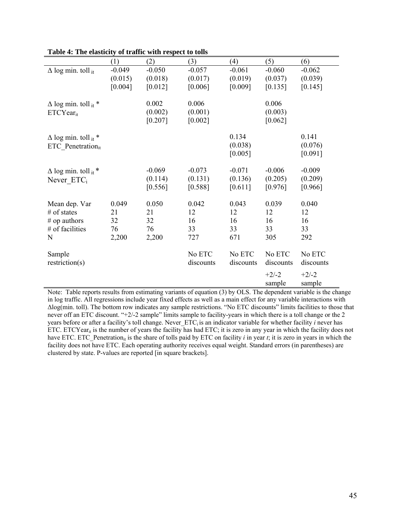|                               | (1)      | (2)      | (3)       | (4)       | (5)       | (6)       |
|-------------------------------|----------|----------|-----------|-----------|-----------|-----------|
| $\Delta$ log min. toll it     | $-0.049$ | $-0.050$ | $-0.057$  | $-0.061$  | $-0.060$  | $-0.062$  |
|                               | (0.015)  | (0.018)  | (0.017)   | (0.019)   | (0.037)   | (0.039)   |
|                               | [0.004]  | [0.012]  | [0.006]   | [0.009]   | [0.135]   | [0.145]   |
|                               |          |          |           |           |           |           |
| $\Delta$ log min. toll it *   |          | 0.002    | 0.006     |           | 0.006     |           |
| $ETCYear_{it}$                |          | (0.002)  | (0.001)   |           | (0.003)   |           |
|                               |          | [0.207]  | [0.002]   |           | [0.062]   |           |
|                               |          |          |           |           |           |           |
| $\Delta$ log min. toll it *   |          |          |           | 0.134     |           | 0.141     |
| ETC Penetration <sub>it</sub> |          |          |           | (0.038)   |           | (0.076)   |
|                               |          |          |           | [0.005]   |           | [0.091]   |
|                               |          |          |           |           |           |           |
| $\Delta$ log min. toll it *   |          | $-0.069$ | $-0.073$  | $-0.071$  | $-0.006$  | $-0.009$  |
| Never ETC <sub>i</sub>        |          | (0.114)  | (0.131)   | (0.136)   | (0.205)   | (0.209)   |
|                               |          | [0.556]  | [0.588]   | [0.611]   | [0.976]   | [0.966]   |
|                               |          |          |           |           |           |           |
| Mean dep. Var                 | 0.049    | 0.050    | 0.042     | 0.043     | 0.039     | 0.040     |
| $#$ of states                 | 21       | 21       | 12        | 12        | 12        | 12        |
| $#$ op authors                | 32       | 32       | 16        | 16        | 16        | 16        |
| # of facilities               | 76       | 76       | 33        | 33        | 33        | 33        |
| N                             | 2,200    | 2,200    | 727       | 671       | 305       | 292       |
|                               |          |          |           |           |           |           |
| Sample                        |          |          | No ETC    | No ETC    | No ETC    | No ETC    |
| restriction(s)                |          |          | discounts | discounts | discounts | discounts |
|                               |          |          |           |           |           |           |
|                               |          |          |           |           | $+2/-2$   | $+2/-2$   |
|                               |          |          |           |           | sample    | sample    |

**Table 4: The elasticity of traffic with respect to tolls**

Note: Table reports results from estimating variants of equation (3) by OLS. The dependent variable is the change in log traffic. All regressions include year fixed effects as well as a main effect for any variable interactions with Δlog(min. toll). The bottom row indicates any sample restrictions. "No ETC discounts" limits facilities to those that never off an ETC discount. "+2/-2 sample" limits sample to facility-years in which there is a toll change or the 2 years before or after a facility's toll change. Never ETC<sub>i</sub> is an indicator variable for whether facility *i* never has ETC. ETCYear<sub>it</sub> is the number of years the facility has had ETC; it is zero in any year in which the facility does not have ETC. ETC Penetration<sub>it</sub> is the share of tolls paid by ETC on facility *i* in year *t*; it is zero in years in which the facility does not have ETC. Each operating authority receives equal weight. Standard errors (in parentheses) are clustered by state. P-values are reported [in square brackets].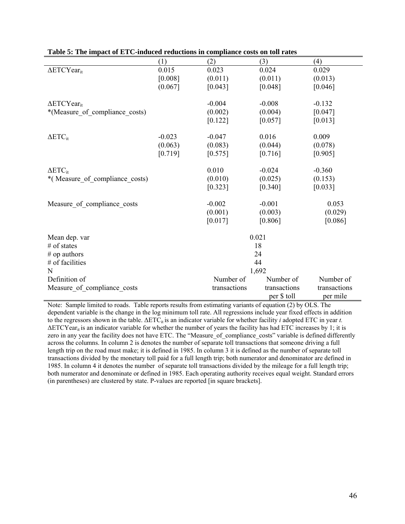|                                | (1)      | (2)          | (3)          | (4)          |  |  |  |
|--------------------------------|----------|--------------|--------------|--------------|--|--|--|
| $\Delta$ ETCYear <sub>it</sub> | 0.015    | 0.023        | 0.024        | 0.029        |  |  |  |
|                                | [0.008]  | (0.011)      | (0.011)      | (0.013)      |  |  |  |
|                                | (0.067]  | [0.043]      | [0.048]      | [0.046]      |  |  |  |
|                                |          | $-0.004$     | $-0.008$     | $-0.132$     |  |  |  |
| $\Delta$ ETCYear <sub>it</sub> |          |              |              |              |  |  |  |
| *(Measure of compliance costs) |          | (0.002)      | (0.004)      | [0.047]      |  |  |  |
|                                |          | [0.122]      | [0.057]      | [0.013]      |  |  |  |
| $\Delta ETC_{it}$              | $-0.023$ | $-0.047$     | 0.016        | 0.009        |  |  |  |
|                                | (0.063)  | (0.083)      | (0.044)      | (0.078)      |  |  |  |
|                                | [0.719]  | [0.575]      | [0.716]      | [0.905]      |  |  |  |
|                                |          |              |              |              |  |  |  |
| $\Delta ETC_{it}$              |          | 0.010        | $-0.024$     | $-0.360$     |  |  |  |
| *(Measure of compliance costs) |          | (0.010)      | (0.025)      | (0.153)      |  |  |  |
|                                |          | [0.323]      | [0.340]      | [0.033]      |  |  |  |
| Measure of compliance costs    |          | $-0.002$     | $-0.001$     | 0.053        |  |  |  |
|                                |          | (0.001)      | (0.003)      | (0.029)      |  |  |  |
|                                |          | [0.017]      | [0.806]      | [0.086]      |  |  |  |
|                                |          |              |              |              |  |  |  |
| Mean dep. var                  |          |              | 0.021        |              |  |  |  |
| $#$ of states                  |          |              | 18           |              |  |  |  |
| $#$ op authors                 |          |              | 24           |              |  |  |  |
| # of facilities                |          | 44           |              |              |  |  |  |
| N                              |          |              | 1,692        |              |  |  |  |
| Definition of                  |          | Number of    | Number of    | Number of    |  |  |  |
| Measure_of_compliance_costs    |          | transactions | transactions | transactions |  |  |  |
|                                |          |              | per \$ toll  | per mile     |  |  |  |

| Table 5: The impact of ETC-induced reductions in compliance costs on toll rates |
|---------------------------------------------------------------------------------|
|---------------------------------------------------------------------------------|

Note: Sample limited to roads. Table reports results from estimating variants of equation (2) by OLS. The dependent variable is the change in the log minimum toll rate. All regressions include year fixed effects in addition to the regressors shown in the table. ΔETC<sub>it</sub> is an indicator variable for whether facility *i* adopted ETC in year *t*.  $\Delta$ ETCYear<sub>it</sub> is an indicator variable for whether the number of years the facility has had ETC increases by 1; it is zero in any year the facility does not have ETC. The "Measure\_of\_compliance\_costs" variable is defined differently across the columns. In column 2 is denotes the number of separate toll transactions that someone driving a full length trip on the road must make; it is defined in 1985. In column 3 it is defined as the number of separate toll transactions divided by the monetary toll paid for a full length trip; both numerator and denominator are defined in 1985. In column 4 it denotes the number of separate toll transactions divided by the mileage for a full length trip; both numerator and denominate or defined in 1985. Each operating authority receives equal weight. Standard errors (in parentheses) are clustered by state. P-values are reported [in square brackets].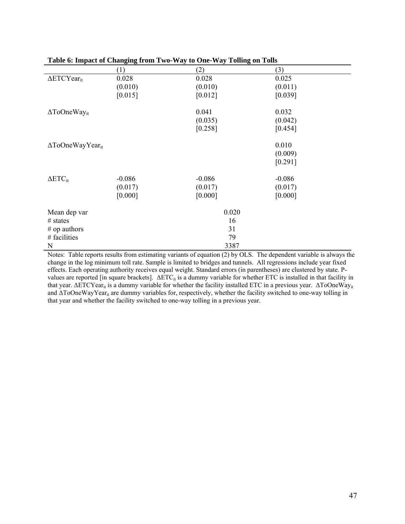|                                     |          | Twore or impute of changing from $\bm{x}$ $\bm{w}$ and $\bm{v}$ are $\bm{v}$ and $\bm{v}$ from $\bm{y}$ | $0.11 - 0.11$ |  |
|-------------------------------------|----------|---------------------------------------------------------------------------------------------------------|---------------|--|
|                                     | (1)      | (2)                                                                                                     | (3)           |  |
| $\Delta$ ETCYear <sub>it</sub>      | 0.028    | 0.028                                                                                                   | 0.025         |  |
|                                     | (0.010)  | (0.010)                                                                                                 | (0.011)       |  |
|                                     | [0.015]  | [0.012]                                                                                                 | [0.039]       |  |
| $\Delta$ ToOneWay <sub>it</sub>     |          | 0.041                                                                                                   | 0.032         |  |
|                                     |          | (0.035)                                                                                                 | (0.042)       |  |
|                                     |          | [0.258]                                                                                                 | [0.454]       |  |
| $\Delta$ ToOneWayYear <sub>it</sub> |          |                                                                                                         | 0.010         |  |
|                                     |          |                                                                                                         | (0.009)       |  |
|                                     |          |                                                                                                         | [0.291]       |  |
| $\Delta ETC_{it}$                   | $-0.086$ | $-0.086$                                                                                                | $-0.086$      |  |
|                                     | (0.017)  | (0.017)                                                                                                 | (0.017)       |  |
|                                     | [0.000]  | [0.000]                                                                                                 | [0.000]       |  |
| Mean dep var                        |          | 0.020                                                                                                   |               |  |
| $#$ states                          |          | 16                                                                                                      |               |  |
| $#$ op authors                      |          | 31                                                                                                      |               |  |
| # facilities                        |          | 79                                                                                                      |               |  |
| N                                   |          | 3387                                                                                                    |               |  |

#### **Table 6: Impact of Changing from Two-Way to One-Way Tolling on Tolls**

Notes: Table reports results from estimating variants of equation (2) by OLS. The dependent variable is always the change in the log minimum toll rate. Sample is limited to bridges and tunnels. All regressions include year fixed effects. Each operating authority receives equal weight. Standard errors (in parentheses) are clustered by state. Pvalues are reported [in square brackets].  $\Delta ETC_{it}$  is a dummy variable for whether ETC is installed in that facility in that year. ΔΕΤCΥear<sub>it</sub> is a dummy variable for whether the facility installed ETC in a previous year. ΔΤοOneWay<sub>it</sub> and  $\Delta$ ToOneWayYear<sub>it</sub> are dummy variables for, respectively, whether the facility switched to one-way tolling in that year and whether the facility switched to one-way tolling in a previous year.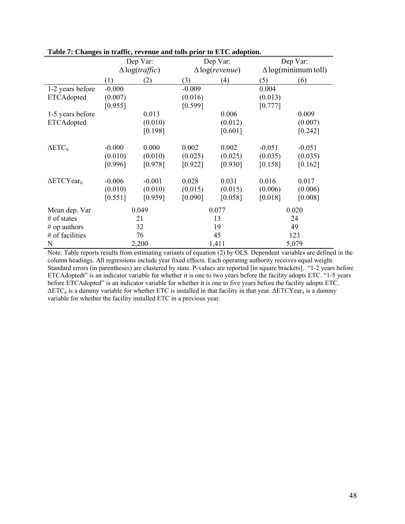|                                |          | Dep Var:              |          | Dep Var:              |          | Dep Var:                   |  |  |
|--------------------------------|----------|-----------------------|----------|-----------------------|----------|----------------------------|--|--|
|                                |          | $\Delta$ log(traffic) |          | $\Delta$ log(revenue) |          | $\Delta$ log(minimum toll) |  |  |
|                                | (1)      | (2)                   | (3)      | (4)                   | (5)      | (6)                        |  |  |
| 1-2 years before               | $-0.000$ |                       | $-0.009$ |                       | 0.004    |                            |  |  |
| ETCAdopted                     | (0.007)  |                       | (0.016)  |                       | (0.013)  |                            |  |  |
|                                | [0.955]  |                       | [0.599]  |                       | [0.777]  |                            |  |  |
| 1-5 years before               |          | 0.013                 |          | 0.006                 |          | 0.009                      |  |  |
| ETCAdopted                     |          | (0.010)               |          | (0.012)               |          | (0.007)                    |  |  |
|                                |          | [0.198]               |          | [0.601]               |          | [0.242]                    |  |  |
| $\Delta ETC_{it}$              | $-0.000$ | 0.000                 | 0.002    | 0.002                 | $-0.051$ | $-0.051$                   |  |  |
|                                | (0.010)  | (0.010)               | (0.025)  | (0.025)               | (0.035)  | (0.035)                    |  |  |
|                                | [0.996]  | [0.978]               | [0.922]  | [0.930]               | [0.158]  | [0.162]                    |  |  |
| $\Delta$ ETCYear <sub>it</sub> | $-0.006$ | $-0.001$              | 0.028    | 0.031                 | 0.016    | 0.017                      |  |  |
|                                | (0.010)  | (0.010)               | (0.015)  | (0.015)               | (0.006)  | (0.006)                    |  |  |
|                                | [0.551]  | [0.959]               | [0.090]  | [0.058]               | [0.018]  | [0.008]                    |  |  |
| Mean dep. Var                  |          | 0.049                 |          | 0.077                 |          | 0.020                      |  |  |
| $#$ of states                  |          | 21                    |          | 13                    |          | 24                         |  |  |
| $#$ op authors                 |          | 32                    |          | 19                    |          | 49                         |  |  |
| # of facilities                |          | 76                    |          | 45                    |          | 123                        |  |  |
| N                              |          | 2,200                 |          | 1,411                 |          | 5,079                      |  |  |

# **Table 7: Changes in traffic, revenue and tolls prior to ETC adoption.**

Note: Table reports results from estimating variants of equation (2) by OLS. Dependent variables are defined in the column headings. All regressions include year fixed effects. Each operating authority receives equal weight. Standard errors (in parentheses) are clustered by state. P-values are reported [in square brackets]. "1-2 years before ETCAdoptedt" is an indicator variable for whether it is one to two years before the facility adopts ETC. "1-5 years before ETCAdopted" is an indicator variable for whether it is one to five years before the facility adopts ETC.  $\Delta ETC_i$  is a dummy variable for whether ETC is installed in that facility in that year.  $\Delta ETCYear_{it}$  is a dummy variable for whether the facility installed ETC in a previous year.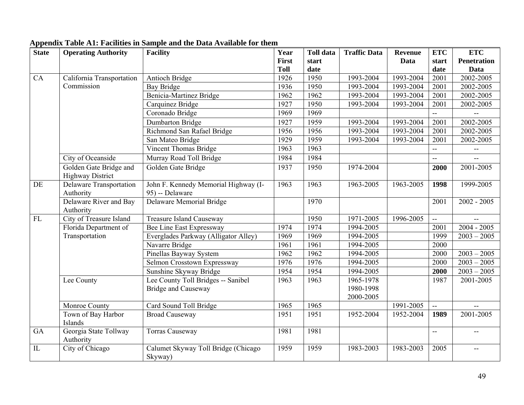| <b>State</b> | <b>Operating Authority</b>     | <b>Facility</b>                      | Year         | <b>Toll data</b>  | <b>Traffic Data</b> | <b>Revenue</b> | <b>ETC</b>                | <b>ETC</b>               |
|--------------|--------------------------------|--------------------------------------|--------------|-------------------|---------------------|----------------|---------------------------|--------------------------|
|              |                                |                                      | <b>First</b> | start             |                     | Data           | start                     | <b>Penetration</b>       |
|              |                                |                                      | <b>Toll</b>  | date              |                     |                | date                      | Data                     |
| CA           | California Transportation      | <b>Antioch Bridge</b>                | 1926         | 1950              | 1993-2004           | 1993-2004      | 2001                      | 2002-2005                |
|              | Commission                     | <b>Bay Bridge</b>                    | 1936         | 1950              | 1993-2004           | 1993-2004      | 2001                      | 2002-2005                |
|              |                                | Benicia-Martinez Bridge              | 1962         | 1962              | 1993-2004           | 1993-2004      | 2001                      | 2002-2005                |
|              |                                | Carquinez Bridge                     | 1927         | 1950              | 1993-2004           | 1993-2004      | 2001                      | 2002-2005                |
|              |                                | Coronado Bridge                      | 1969         | 1969              |                     |                | $\mathbb{L}^{\mathbb{L}}$ |                          |
|              |                                | Dumbarton Bridge                     | 1927         | 1959              | 1993-2004           | 1993-2004      | 2001                      | 2002-2005                |
|              |                                | Richmond San Rafael Bridge           | 1956         | 1956              | 1993-2004           | 1993-2004      | 2001                      | 2002-2005                |
|              |                                | San Mateo Bridge                     | 1929         | 1959              | 1993-2004           | 1993-2004      | 2001                      | 2002-2005                |
|              |                                | <b>Vincent Thomas Bridge</b>         | 1963         | 1963              |                     |                | $\overline{\phantom{a}}$  | $\overline{\phantom{a}}$ |
|              | City of Oceanside              | Murray Road Toll Bridge              | 1984         | 1984              |                     |                | $\mathbf{u}$              | $-$                      |
|              | Golden Gate Bridge and         | Golden Gate Bridge                   | 1937         | 1950              | 1974-2004           |                | 2000                      | 2001-2005                |
|              | <b>Highway District</b>        |                                      |              |                   |                     |                |                           |                          |
| DE           | <b>Delaware Transportation</b> | John F. Kennedy Memorial Highway (I- | 1963         | 1963              | $1963 - 2005$       | $1963 - 2005$  | 1998                      | 1999-2005                |
|              | Authority                      | 95) -- Delaware                      |              |                   |                     |                |                           |                          |
|              | Delaware River and Bay         | Delaware Memorial Bridge             |              | 1970              |                     |                | 2001                      | $2002 - 2005$            |
|              | Authority                      |                                      |              |                   |                     |                |                           |                          |
| FL           | City of Treasure Island        | <b>Treasure Island Causeway</b>      |              | 1950              | 1971-2005           | 1996-2005      | $\mathbb{Z}^2$            |                          |
|              | Florida Department of          | Bee Line East Expressway             | 1974         | 1974              | 1994-2005           |                | 2001                      | $2004 - 2005$            |
|              | Transportation                 | Everglades Parkway (Alligator Alley) | 1969         | 1969              | 1994-2005           |                | 1999                      | $2003 - 2005$            |
|              |                                | Navarre Bridge                       | 1961         | 1961              | 1994-2005           |                | 2000                      |                          |
|              |                                | Pinellas Bayway System               | 1962         | 1962              | 1994-2005           |                | 2000                      | $2003 - 2005$            |
|              |                                | Selmon Crosstown Expressway          | 1976         | 1976              | 1994-2005           |                | 2000                      | $2003 - 2005$            |
|              |                                | Sunshine Skyway Bridge               | 1954         | 1954              | 1994-2005           |                | 2000                      | $2003 - 2005$            |
|              | Lee County                     | Lee County Toll Bridges -- Sanibel   | 1963         | 1963              | $1965 - 1978$       |                | 1987                      | 2001-2005                |
|              |                                | <b>Bridge and Causeway</b>           |              |                   | 1980-1998           |                |                           |                          |
|              |                                |                                      |              |                   | 2000-2005           |                |                           |                          |
|              | Monroe County                  | Card Sound Toll Bridge               | 1965         | 1965              |                     | 1991-2005      | $\mathbb{L}^{\mathbb{L}}$ | $-$                      |
|              | Town of Bay Harbor             | <b>Broad Causeway</b>                | 1951         | 1951              | 1952-2004           | 1952-2004      | 1989                      | 2001-2005                |
|              | Islands                        |                                      |              |                   |                     |                |                           |                          |
| <b>GA</b>    | Georgia State Tollway          | <b>Torras Causeway</b>               | 1981         | 1981              |                     |                | $\mathbf{u}$              | --                       |
|              | Authority                      |                                      |              |                   |                     |                |                           |                          |
| IL           | City of Chicago                | Calumet Skyway Toll Bridge (Chicago  | 1959         | $\overline{1959}$ | 1983-2003           | 1983-2003      | 2005                      | $-$                      |
|              |                                | Skyway)                              |              |                   |                     |                |                           |                          |

# **Appendix Table A1: Facilities in Sample and the Data Available for them**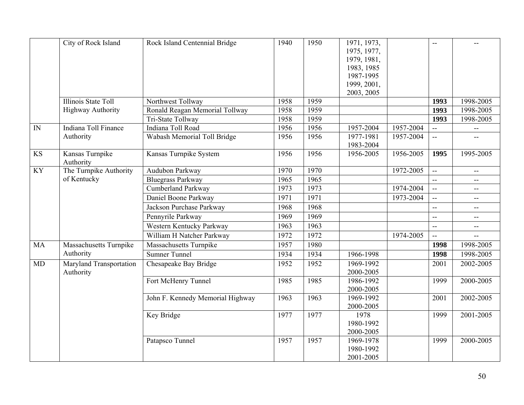|           | City of Rock Island          | Rock Island Centennial Bridge    | 1940 | 1950 | 1971, 1973,            |           | $-$                      |                          |
|-----------|------------------------------|----------------------------------|------|------|------------------------|-----------|--------------------------|--------------------------|
|           |                              |                                  |      |      | 1975, 1977,            |           |                          |                          |
|           |                              |                                  |      |      | 1979, 1981,            |           |                          |                          |
|           |                              |                                  |      |      | 1983, 1985             |           |                          |                          |
|           |                              |                                  |      |      | 1987-1995              |           |                          |                          |
|           |                              |                                  |      |      | 1999, 2001,            |           |                          |                          |
|           |                              |                                  |      |      | 2003, 2005             |           |                          |                          |
|           | Illinois State Toll          | Northwest Tollway                | 1958 | 1959 |                        |           | 1993                     | 1998-2005                |
|           | <b>Highway Authority</b>     | Ronald Reagan Memorial Tollway   | 1958 | 1959 |                        |           | 1993                     | 1998-2005                |
|           |                              | Tri-State Tollway                | 1958 | 1959 |                        |           | 1993                     | 1998-2005                |
| IN        | Indiana Toll Finance         | Indiana Toll Road                | 1956 | 1956 | 1957-2004              | 1957-2004 | $\overline{a}$           | $\overline{\phantom{a}}$ |
|           | Authority                    | Wabash Memorial Toll Bridge      | 1956 | 1956 | 1977-1981<br>1983-2004 | 1957-2004 | $\mathbf{u}$             |                          |
| <b>KS</b> | Kansas Turnpike<br>Authority | Kansas Turnpike System           | 1956 | 1956 | 1956-2005              | 1956-2005 | 1995                     | 1995-2005                |
| <b>KY</b> | The Turnpike Authority       | Audubon Parkway                  | 1970 | 1970 |                        | 1972-2005 | $\mathbb{L}^{\perp}$     | $\mathbf{u}$             |
|           | of Kentucky                  | <b>Bluegrass Parkway</b>         | 1965 | 1965 |                        |           | $\overline{\phantom{a}}$ | $- -$                    |
|           |                              | <b>Cumberland Parkway</b>        | 1973 | 1973 |                        | 1974-2004 | $\sim$                   | $\overline{a}$           |
|           |                              | Daniel Boone Parkway             | 1971 | 1971 |                        | 1973-2004 | $\mathbb{L}^{\perp}$     | --                       |
|           |                              | Jackson Purchase Parkway         | 1968 | 1968 |                        |           | $\mathbf{u}$             | $\overline{\phantom{a}}$ |
|           |                              | Pennyrile Parkway                | 1969 | 1969 |                        |           | $\mathbf{u}$             | $\overline{\phantom{a}}$ |
|           |                              | Western Kentucky Parkway         | 1963 | 1963 |                        |           | $\overline{\phantom{a}}$ | н.                       |
|           |                              | William H Natcher Parkway        | 1972 | 1972 |                        | 1974-2005 | ω.                       |                          |
| MA        | Massachusetts Turnpike       | Massachusetts Turnpike           | 1957 | 1980 |                        |           | 1998                     | 1998-2005                |
|           | Authority                    | <b>Sumner Tunnel</b>             | 1934 | 1934 | 1966-1998              |           | 1998                     | 1998-2005                |
| MD        | Maryland Transportation      | Chesapeake Bay Bridge            | 1952 | 1952 | 1969-1992              |           | 2001                     | 2002-2005                |
|           | Authority                    |                                  |      |      | 2000-2005              |           |                          |                          |
|           |                              | Fort McHenry Tunnel              | 1985 | 1985 | 1986-1992              |           | 1999                     | 2000-2005                |
|           |                              |                                  |      |      | 2000-2005              |           |                          |                          |
|           |                              | John F. Kennedy Memorial Highway | 1963 | 1963 | 1969-1992              |           | 2001                     | 2002-2005                |
|           |                              |                                  |      |      | 2000-2005              |           |                          |                          |
|           |                              | Key Bridge                       | 1977 | 1977 | 1978                   |           | 1999                     | 2001-2005                |
|           |                              |                                  |      |      | 1980-1992              |           |                          |                          |
|           |                              |                                  |      |      | 2000-2005              |           |                          |                          |
|           |                              | Patapsco Tunnel                  | 1957 | 1957 | 1969-1978              |           | 1999                     | 2000-2005                |
|           |                              |                                  |      |      | 1980-1992              |           |                          |                          |
|           |                              |                                  |      |      | 2001-2005              |           |                          |                          |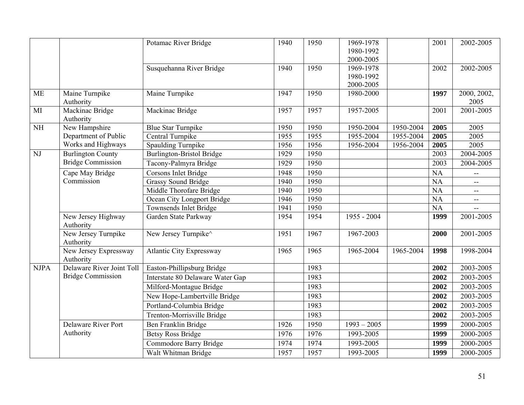|                        |                                    | Potamac River Bridge             | 1940 | 1950 | 1969-1978<br>1980-1992 |           | 2001      | 2002-2005                |
|------------------------|------------------------------------|----------------------------------|------|------|------------------------|-----------|-----------|--------------------------|
|                        |                                    |                                  |      |      | 2000-2005              |           |           |                          |
|                        |                                    | Susquehanna River Bridge         | 1940 | 1950 | 1969-1978              |           | 2002      | 2002-2005                |
|                        |                                    |                                  |      |      | 1980-1992              |           |           |                          |
|                        |                                    |                                  |      |      | 2000-2005              |           |           |                          |
| <b>ME</b>              | Maine Turnpike<br>Authority        | Maine Turnpike                   | 1947 | 1950 | 1980-2000              |           | 1997      | 2000, 2002,<br>2005      |
| MI                     | Mackinac Bridge<br>Authority       | Mackinac Bridge                  | 1957 | 1957 | 1957-2005              |           | 2001      | 2001-2005                |
| $\overline{\text{NH}}$ | New Hampshire                      | <b>Blue Star Turnpike</b>        | 1950 | 1950 | 1950-2004              | 1950-2004 | 2005      | 2005                     |
|                        | Department of Public               | Central Turnpike                 | 1955 | 1955 | 1955-2004              | 1955-2004 | 2005      | 2005                     |
|                        | Works and Highways                 | <b>Spaulding Turnpike</b>        | 1956 | 1956 | 1956-2004              | 1956-2004 | 2005      | 2005                     |
| NJ                     | <b>Burlington County</b>           | <b>Burlington-Bristol Bridge</b> | 1929 | 1950 |                        |           | 2003      | 2004-2005                |
|                        | <b>Bridge Commission</b>           | Tacony-Palmyra Bridge            | 1929 | 1950 |                        |           | 2003      | 2004-2005                |
|                        | Cape May Bridge                    | Corsons Inlet Bridge             | 1948 | 1950 |                        |           | <b>NA</b> | $\overline{a}$           |
|                        | Commission                         | <b>Grassy Sound Bridge</b>       | 1940 | 1950 |                        |           | <b>NA</b> | $- -$                    |
|                        |                                    | Middle Thorofare Bridge          | 1940 | 1950 |                        |           | NA        | $- -$                    |
|                        |                                    | Ocean City Longport Bridge       | 1946 | 1950 |                        |           | <b>NA</b> | $\overline{\phantom{a}}$ |
|                        |                                    | Townsends Inlet Bridge           | 1941 | 1950 |                        |           | NA        |                          |
|                        | New Jersey Highway<br>Authority    | Garden State Parkway             | 1954 | 1954 | 1955 - 2004            |           | 1999      | 2001-2005                |
|                        | New Jersey Turnpike<br>Authority   | New Jersey Turnpike <sup>^</sup> | 1951 | 1967 | 1967-2003              |           | 2000      | 2001-2005                |
|                        | New Jersey Expressway<br>Authority | <b>Atlantic City Expressway</b>  | 1965 | 1965 | 1965-2004              | 1965-2004 | 1998      | 1998-2004                |
| <b>NJPA</b>            | Delaware River Joint Toll          | Easton-Phillipsburg Bridge       |      | 1983 |                        |           | 2002      | 2003-2005                |
|                        | <b>Bridge Commission</b>           | Interstate 80 Delaware Water Gap |      | 1983 |                        |           | 2002      | 2003-2005                |
|                        |                                    | Milford-Montague Bridge          |      | 1983 |                        |           | 2002      | 2003-2005                |
|                        |                                    | New Hope-Lambertville Bridge     |      | 1983 |                        |           | 2002      | 2003-2005                |
|                        |                                    | Portland-Columbia Bridge         |      | 1983 |                        |           | 2002      | 2003-2005                |
|                        |                                    | Trenton-Morrisville Bridge       |      | 1983 |                        |           | 2002      | 2003-2005                |
|                        | <b>Delaware River Port</b>         | Ben Franklin Bridge              | 1926 | 1950 | $1993 - 2005$          |           | 1999      | 2000-2005                |
|                        | Authority                          | <b>Betsy Ross Bridge</b>         | 1976 | 1976 | 1993-2005              |           | 1999      | 2000-2005                |
|                        |                                    | Commodore Barry Bridge           | 1974 | 1974 | 1993-2005              |           | 1999      | 2000-2005                |
|                        |                                    | Walt Whitman Bridge              | 1957 | 1957 | 1993-2005              |           | 1999      | 2000-2005                |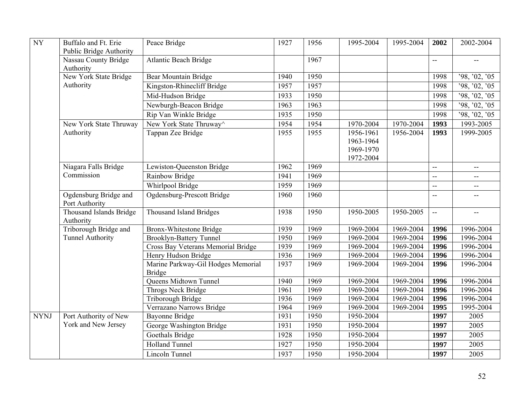| <b>NY</b>   | Buffalo and Ft. Erie                    | Peace Bridge                        | 1927 | 1956 | 1995-2004 | 1995-2004 | 2002           | 2002-2004                                     |
|-------------|-----------------------------------------|-------------------------------------|------|------|-----------|-----------|----------------|-----------------------------------------------|
|             | <b>Public Bridge Authority</b>          |                                     |      |      |           |           |                |                                               |
|             | Nassau County Bridge<br>Authority       | <b>Atlantic Beach Bridge</b>        |      | 1967 |           |           | $\overline{a}$ | $\overline{\phantom{a}}$                      |
|             | New York State Bridge                   | Bear Mountain Bridge                | 1940 | 1950 |           |           | 1998           | '98, '02, '05                                 |
|             | Authority                               | Kingston-Rhinecliff Bridge          | 1957 | 1957 |           |           | 1998           | '98, '02, '05                                 |
|             |                                         | Mid-Hudson Bridge                   | 1933 | 1950 |           |           | 1998           | '98, '02, '05                                 |
|             |                                         |                                     | 1963 | 1963 |           |           | 1998           |                                               |
|             |                                         | Newburgh-Beacon Bridge              |      |      |           |           |                | '98, '02, '05                                 |
|             |                                         | Rip Van Winkle Bridge               | 1935 | 1950 |           |           | 1998           | '98, '02, '05                                 |
|             | New York State Thruway                  | New York State Thruway <sup>^</sup> | 1954 | 1954 | 1970-2004 | 1970-2004 | 1993           | 1993-2005                                     |
|             | Authority                               | Tappan Zee Bridge                   | 1955 | 1955 | 1956-1961 | 1956-2004 | 1993           | 1999-2005                                     |
|             |                                         |                                     |      |      | 1963-1964 |           |                |                                               |
|             |                                         |                                     |      |      | 1969-1970 |           |                |                                               |
|             |                                         |                                     |      | 1969 | 1972-2004 |           |                |                                               |
|             | Niagara Falls Bridge<br>Commission      | Lewiston-Queenston Bridge           | 1962 |      |           |           | uu             | $\overline{\phantom{m}}$                      |
|             |                                         | Rainbow Bridge                      | 1941 | 1969 |           |           | $\overline{a}$ | $\overline{\phantom{a}}$                      |
|             |                                         | Whirlpool Bridge                    | 1959 | 1969 |           |           | $\overline{a}$ | $\overline{\phantom{a}}$                      |
|             | Ogdensburg Bridge and<br>Port Authority | Ogdensburg-Prescott Bridge          | 1960 | 1960 |           |           | 44             |                                               |
|             | Thousand Islands Bridge<br>Authority    | <b>Thousand Island Bridges</b>      | 1938 | 1950 | 1950-2005 | 1950-2005 | ц.,            | $\mathord{\hspace{1pt}\text{--}\hspace{1pt}}$ |
|             | Triborough Bridge and                   | <b>Bronx-Whitestone Bridge</b>      | 1939 | 1969 | 1969-2004 | 1969-2004 | 1996           | 1996-2004                                     |
|             | <b>Tunnel Authority</b>                 | <b>Brooklyn-Battery Tunnel</b>      | 1950 | 1969 | 1969-2004 | 1969-2004 | 1996           | 1996-2004                                     |
|             |                                         | Cross Bay Veterans Memorial Bridge  | 1939 | 1969 | 1969-2004 | 1969-2004 | 1996           | 1996-2004                                     |
|             |                                         | Henry Hudson Bridge                 | 1936 | 1969 | 1969-2004 | 1969-2004 | 1996           | 1996-2004                                     |
|             |                                         | Marine Parkway-Gil Hodges Memorial  | 1937 | 1969 | 1969-2004 | 1969-2004 | 1996           | 1996-2004                                     |
|             |                                         | <b>Bridge</b>                       |      |      |           |           |                |                                               |
|             |                                         | Queens Midtown Tunnel               | 1940 | 1969 | 1969-2004 | 1969-2004 | 1996           | 1996-2004                                     |
|             |                                         | Throgs Neck Bridge                  | 1961 | 1969 | 1969-2004 | 1969-2004 | 1996           | 1996-2004                                     |
|             |                                         | Triborough Bridge                   | 1936 | 1969 | 1969-2004 | 1969-2004 | 1996           | 1996-2004                                     |
|             |                                         | Verrazano Narrows Bridge            | 1964 | 1969 | 1969-2004 | 1969-2004 | 1995           | 1995-2004                                     |
| <b>NYNJ</b> | Port Authority of New                   | <b>Bayonne Bridge</b>               | 1931 | 1950 | 1950-2004 |           | 1997           | 2005                                          |
|             | York and New Jersey                     | George Washington Bridge            | 1931 | 1950 | 1950-2004 |           | 1997           | 2005                                          |
|             |                                         | Goethals Bridge                     | 1928 | 1950 | 1950-2004 |           | 1997           | 2005                                          |
|             |                                         | <b>Holland Tunnel</b>               | 1927 | 1950 | 1950-2004 |           | 1997           | 2005                                          |
|             |                                         | <b>Lincoln Tunnel</b>               | 1937 | 1950 | 1950-2004 |           | 1997           | 2005                                          |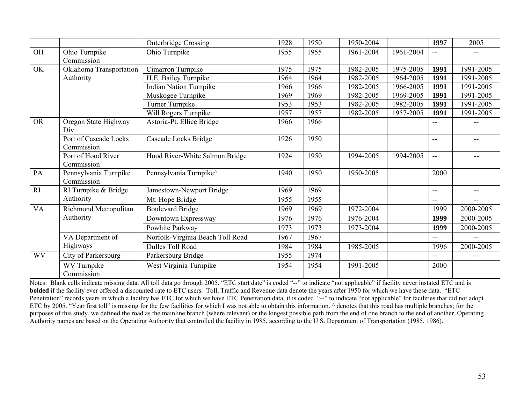|           |                                     | <b>Outerbridge Crossing</b>      | 1928 | 1950 | 1950-2004 |           | 1997           | 2005                     |
|-----------|-------------------------------------|----------------------------------|------|------|-----------|-----------|----------------|--------------------------|
| OH        | Ohio Turnpike                       | Ohio Turnpike                    | 1955 | 1955 | 1961-2004 | 1961-2004 | $-$            | $-$                      |
|           | Commission                          |                                  |      |      |           |           |                |                          |
| OK        | Oklahoma Transportation             | Cimarron Turnpike                | 1975 | 1975 | 1982-2005 | 1975-2005 | 1991           | 1991-2005                |
|           | Authority                           | H.E. Bailey Turnpike             | 1964 | 1964 | 1982-2005 | 1964-2005 | 1991           | 1991-2005                |
|           |                                     | <b>Indian Nation Turnpike</b>    | 1966 | 1966 | 1982-2005 | 1966-2005 | 1991           | 1991-2005                |
|           |                                     | Muskogee Turnpike                | 1969 | 1969 | 1982-2005 | 1969-2005 | 1991           | 1991-2005                |
|           |                                     | Turner Turnpike                  | 1953 | 1953 | 1982-2005 | 1982-2005 | 1991           | 1991-2005                |
|           |                                     | Will Rogers Turnpike             | 1957 | 1957 | 1982-2005 | 1957-2005 | 1991           | 1991-2005                |
| <b>OR</b> | Oregon State Highway<br>Div.        | Astoria-Pt. Ellice Bridge        | 1966 | 1966 |           |           | --             |                          |
|           | Port of Cascade Locks<br>Commission | Cascade Locks Bridge             | 1926 | 1950 |           |           | --             |                          |
|           | Port of Hood River<br>Commission    | Hood River-White Salmon Bridge   | 1924 | 1950 | 1994-2005 | 1994-2005 | $-$            |                          |
| PA        | Pennsylvania Turnpike<br>Commission | Pennsylvania Turnpike^           | 1940 | 1950 | 1950-2005 |           | 2000           |                          |
| RI        | RI Turnpike & Bridge                | Jamestown-Newport Bridge         | 1969 | 1969 |           |           | $\overline{a}$ | $-$                      |
|           | Authority                           | Mt. Hope Bridge                  | 1955 | 1955 |           |           | $- -$          | $\overline{\phantom{a}}$ |
| <b>VA</b> | Richmond Metropolitan               | <b>Boulevard Bridge</b>          | 1969 | 1969 | 1972-2004 |           | 1999           | 2000-2005                |
|           | Authority                           | Downtown Expressway              | 1976 | 1976 | 1976-2004 |           | 1999           | 2000-2005                |
|           |                                     | Powhite Parkway                  | 1973 | 1973 | 1973-2004 |           | 1999           | 2000-2005                |
|           | VA Department of                    | Norfolk-Virginia Beach Toll Road | 1967 | 1967 |           |           | --             | $\overline{\phantom{a}}$ |
|           | Highways                            | Dulles Toll Road                 | 1984 | 1984 | 1985-2005 |           | 1996           | 2000-2005                |
| <b>WV</b> | City of Parkersburg                 | Parkersburg Bridge               | 1955 | 1974 |           |           | --             |                          |
|           | WV Turnpike<br>Commission           | West Virginia Turnpike           | 1954 | 1954 | 1991-2005 |           | 2000           |                          |

Notes: Blank cells indicate missing data. All toll data go through 2005. "ETC start date" is coded "--" to indicate "not applicable" if facility never instated ETC and is **bolded** if the facility ever offered a discounted rate to ETC users. Toll, Traffic and Revenue data denote the years after 1950 for which we have these data. "ETC Penetration" records years in which a facility has ETC for which we have ETC Penetration data; it is coded "--" to indicate "not applicable" for facilities that did not adopt ETC by 2005. "Year first toll" is missing for the few facilities for which I was not able to obtain this information. ^ denotes that this road has multiple branches; for the purposes of this study, we defined the road as the mainline branch (where relevant) or the longest possible path from the end of one branch to the end of another. Operating Authority names are based on the Operating Authority that controlled the facility in 1985, according to the U.S. Department of Transportation (1985, 1986).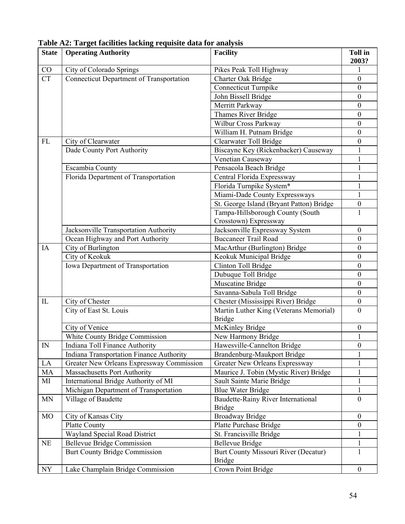| <b>State</b>   | <b>Operating Authority</b>                      | <b>Facility</b>                          | <b>Toll in</b><br>2003? |
|----------------|-------------------------------------------------|------------------------------------------|-------------------------|
| CO             | City of Colorado Springs                        | Pikes Peak Toll Highway                  |                         |
| CT             | <b>Connecticut Department of Transportation</b> | Charter Oak Bridge                       | $\boldsymbol{0}$        |
|                |                                                 | <b>Connecticut Turnpike</b>              | $\boldsymbol{0}$        |
|                |                                                 | John Bissell Bridge                      | $\boldsymbol{0}$        |
|                |                                                 | Merritt Parkway                          | $\boldsymbol{0}$        |
|                |                                                 | <b>Thames River Bridge</b>               | $\boldsymbol{0}$        |
|                |                                                 | Wilbur Cross Parkway                     | $\boldsymbol{0}$        |
|                |                                                 | William H. Putnam Bridge                 | $\boldsymbol{0}$        |
| FL             | City of Clearwater                              | Clearwater Toll Bridge                   | $\boldsymbol{0}$        |
|                | Dade County Port Authority                      | Biscayne Key (Rickenbacker) Causeway     |                         |
|                |                                                 | Venetian Causeway                        | 1                       |
|                | Escambia County                                 | Pensacola Beach Bridge                   | 1                       |
|                | Florida Department of Transportation            | Central Florida Expressway               |                         |
|                |                                                 | Florida Turnpike System*                 |                         |
|                |                                                 | Miami-Dade County Expressways            |                         |
|                |                                                 | St. George Island (Bryant Patton) Bridge | $\boldsymbol{0}$        |
|                |                                                 | Tampa-Hillsborough County (South         | 1                       |
|                |                                                 | Crosstown) Expressway                    |                         |
|                | Jacksonville Transportation Authority           | Jacksonville Expressway System           | $\boldsymbol{0}$        |
|                | Ocean Highway and Port Authority                | <b>Buccaneer Trail Road</b>              | $\mathbf{0}$            |
| IA             | City of Burlington                              | MacArthur (Burlington) Bridge            | $\boldsymbol{0}$        |
|                | City of Keokuk                                  | Keokuk Municipal Bridge                  | $\boldsymbol{0}$        |
|                | Iowa Department of Transportation               | Clinton Toll Bridge                      | $\boldsymbol{0}$        |
|                |                                                 | Dubuque Toll Bridge                      | $\boldsymbol{0}$        |
|                |                                                 | Muscatine Bridge                         | $\boldsymbol{0}$        |
|                |                                                 | Savanna-Sabula Toll Bridge               | $\boldsymbol{0}$        |
| $\rm IL$       | City of Chester                                 | Chester (Mississippi River) Bridge       | $\boldsymbol{0}$        |
|                | City of East St. Louis                          | Martin Luther King (Veterans Memorial)   | $\mathbf{0}$            |
|                |                                                 | <b>Bridge</b>                            |                         |
|                | City of Venice                                  | McKinley Bridge                          | $\boldsymbol{0}$        |
|                | White County Bridge Commission                  | New Harmony Bridge                       |                         |
| IN             | Indiana Toll Finance Authority                  | Hawesville-Cannelton Bridge              | $\theta$                |
|                | <b>Indiana Transportation Finance Authority</b> | Brandenburg-Maukport Bridge              |                         |
| LA             | Greater New Orleans Expressway Commission       | Greater New Orleans Expressway           | 1                       |
| MA             | Massachusetts Port Authority                    | Maurice J. Tobin (Mystic River) Bridge   | 1                       |
| MI             | International Bridge Authority of MI            | Sault Sainte Marie Bridge                | 1                       |
|                | Michigan Department of Transportation           | <b>Blue Water Bridge</b>                 | 1                       |
| <b>MN</b>      | Village of Baudette                             | Baudette-Rainy River International       | $\theta$                |
|                |                                                 | <b>Bridge</b>                            |                         |
| M <sub>O</sub> | City of Kansas City                             | <b>Broadway Bridge</b>                   | $\mathbf{0}$            |
|                | <b>Platte County</b>                            | Platte Purchase Bridge                   | $\boldsymbol{0}$        |
|                | Wayland Special Road District                   | St. Francisville Bridge                  | $\mathbf{1}$            |
| NE             | <b>Bellevue Bridge Commission</b>               | <b>Bellevue Bridge</b>                   | $\mathbf{1}$            |
|                | <b>Burt County Bridge Commission</b>            | Burt County Missouri River (Decatur)     | 1                       |
|                |                                                 | <b>Bridge</b>                            |                         |
| NY             | Lake Champlain Bridge Commission                | Crown Point Bridge                       | $\mathbf{0}$            |

**Table A2: Target facilities lacking requisite data for analysis**